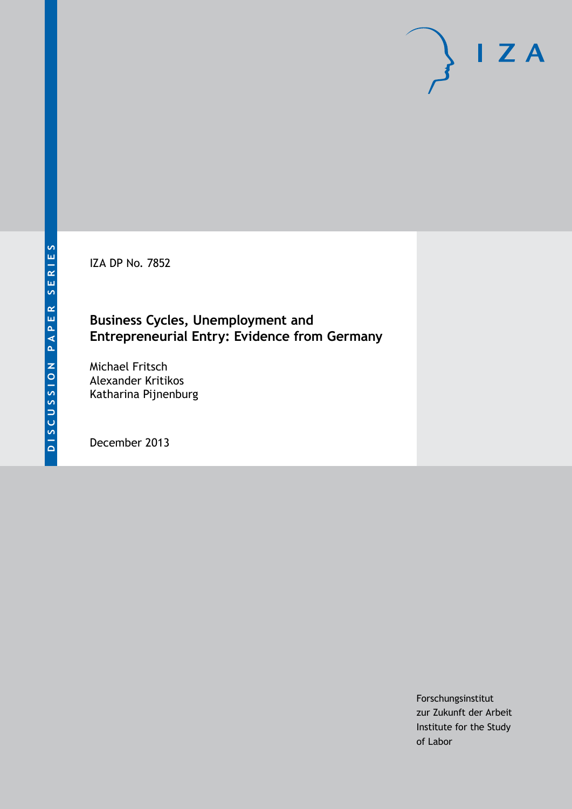IZA DP No. 7852

### **Business Cycles, Unemployment and Entrepreneurial Entry: Evidence from Germany**

Michael Fritsch Alexander Kritikos Katharina Pijnenburg

December 2013

Forschungsinstitut zur Zukunft der Arbeit Institute for the Study of Labor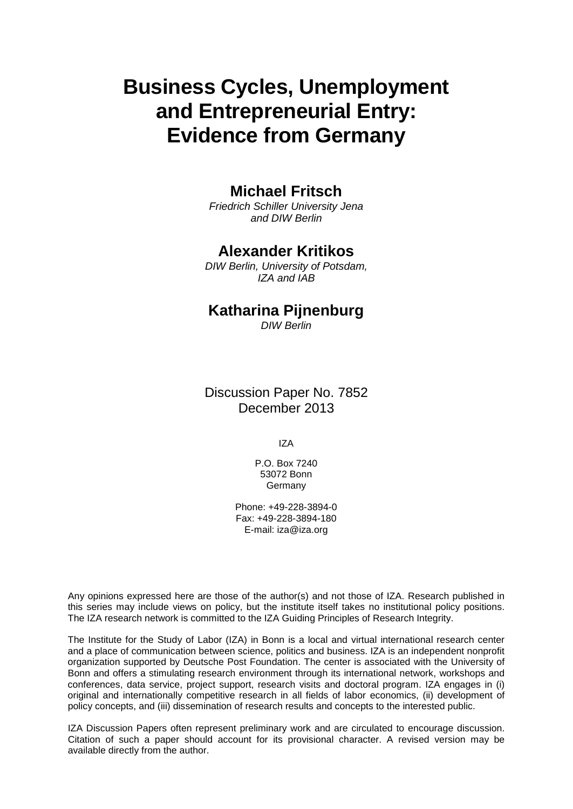# **Business Cycles, Unemployment and Entrepreneurial Entry: Evidence from Germany**

### **Michael Fritsch**

*Friedrich Schiller University Jena and DIW Berlin*

### **Alexander Kritikos**

*DIW Berlin, University of Potsdam, IZA and IAB*

# **Katharina Pijnenburg**

*DIW Berlin*

Discussion Paper No. 7852 December 2013

IZA

P.O. Box 7240 53072 Bonn Germany

Phone: +49-228-3894-0 Fax: +49-228-3894-180 E-mail: [iza@iza.org](mailto:iza@iza.org)

Any opinions expressed here are those of the author(s) and not those of IZA. Research published in this series may include views on policy, but the institute itself takes no institutional policy positions. The IZA research network is committed to the IZA Guiding Principles of Research Integrity.

The Institute for the Study of Labor (IZA) in Bonn is a local and virtual international research center and a place of communication between science, politics and business. IZA is an independent nonprofit organization supported by Deutsche Post Foundation. The center is associated with the University of Bonn and offers a stimulating research environment through its international network, workshops and conferences, data service, project support, research visits and doctoral program. IZA engages in (i) original and internationally competitive research in all fields of labor economics, (ii) development of policy concepts, and (iii) dissemination of research results and concepts to the interested public.

IZA Discussion Papers often represent preliminary work and are circulated to encourage discussion. Citation of such a paper should account for its provisional character. A revised version may be available directly from the author.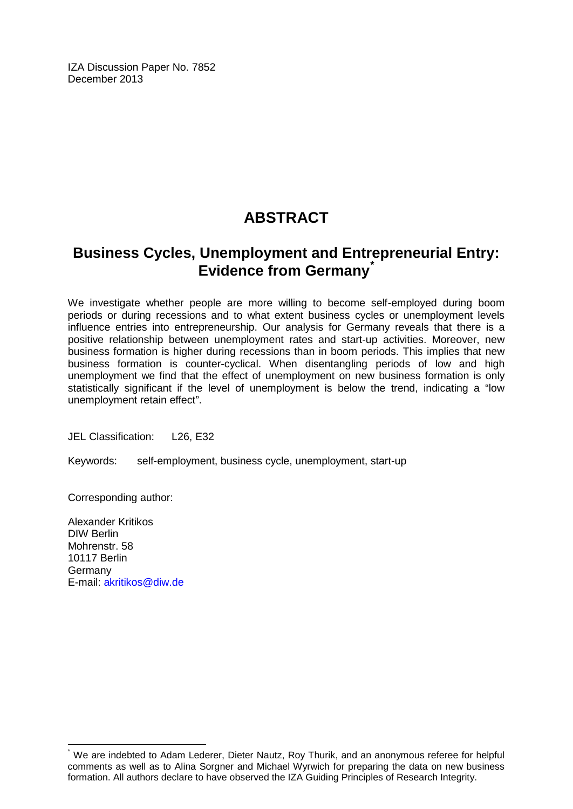IZA Discussion Paper No. 7852 December 2013

# **ABSTRACT**

# **Business Cycles, Unemployment and Entrepreneurial Entry: Evidence from Germany[\\*](#page-2-0)**

We investigate whether people are more willing to become self-employed during boom periods or during recessions and to what extent business cycles or unemployment levels influence entries into entrepreneurship. Our analysis for Germany reveals that there is a positive relationship between unemployment rates and start-up activities. Moreover, new business formation is higher during recessions than in boom periods. This implies that new business formation is counter-cyclical. When disentangling periods of low and high unemployment we find that the effect of unemployment on new business formation is only statistically significant if the level of unemployment is below the trend, indicating a "low unemployment retain effect".

JEL Classification: L26, E32

Keywords: self-employment, business cycle, unemployment, start-up

Corresponding author:

Alexander Kritikos DIW Berlin Mohrenstr. 58 10117 Berlin Germany E-mail: [akritikos@diw.de](mailto:akritikos@diw.de)

<span id="page-2-0"></span>We are indebted to Adam Lederer, Dieter Nautz, Roy Thurik, and an anonymous referee for helpful comments as well as to Alina Sorgner and Michael Wyrwich for preparing the data on new business formation. All authors declare to have observed the IZA Guiding Principles of Research Integrity.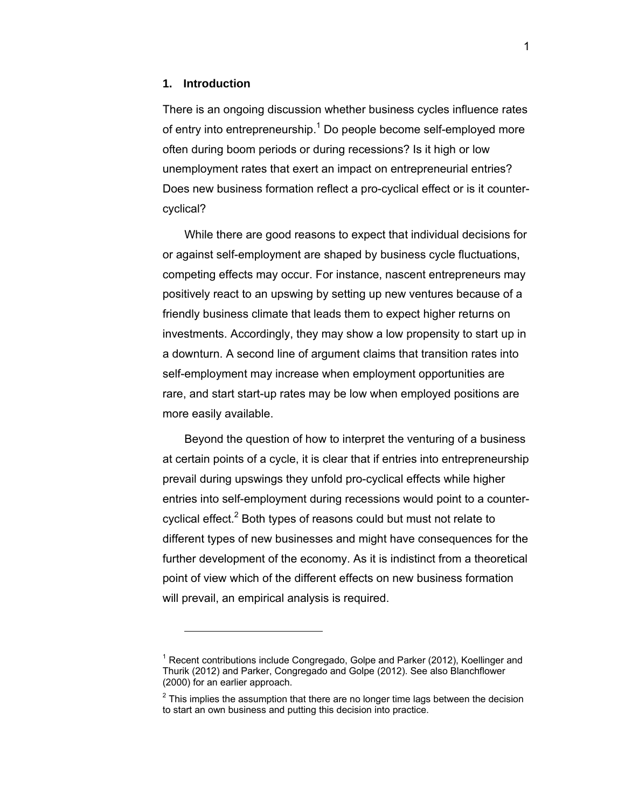#### **1. Introduction**

-

There is an ongoing discussion whether business cycles influence rates of entry into entrepreneurship.<sup>1</sup> Do people become self-employed more often during boom periods or during recessions? Is it high or low unemployment rates that exert an impact on entrepreneurial entries? Does new business formation reflect a pro-cyclical effect or is it countercyclical?

While there are good reasons to expect that individual decisions for or against self-employment are shaped by business cycle fluctuations, competing effects may occur. For instance, nascent entrepreneurs may positively react to an upswing by setting up new ventures because of a friendly business climate that leads them to expect higher returns on investments. Accordingly, they may show a low propensity to start up in a downturn. A second line of argument claims that transition rates into self-employment may increase when employment opportunities are rare, and start start-up rates may be low when employed positions are more easily available.

Beyond the question of how to interpret the venturing of a business at certain points of a cycle, it is clear that if entries into entrepreneurship prevail during upswings they unfold pro-cyclical effects while higher entries into self-employment during recessions would point to a countercyclical effect.<sup>2</sup> Both types of reasons could but must not relate to different types of new businesses and might have consequences for the further development of the economy. As it is indistinct from a theoretical point of view which of the different effects on new business formation will prevail, an empirical analysis is required.

 $1$  Recent contributions include Congregado, Golpe and Parker (2012), Koellinger and Thurik (2012) and Parker, Congregado and Golpe (2012). See also Blanchflower (2000) for an earlier approach.

 $2$  This implies the assumption that there are no longer time lags between the decision to start an own business and putting this decision into practice.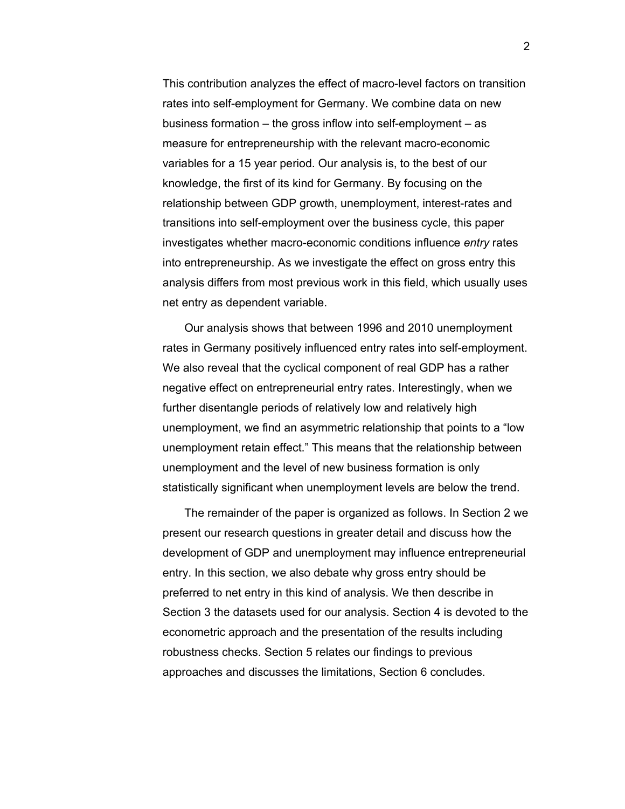This contribution analyzes the effect of macro-level factors on transition rates into self-employment for Germany. We combine data on new business formation – the gross inflow into self-employment – as measure for entrepreneurship with the relevant macro-economic variables for a 15 year period. Our analysis is, to the best of our knowledge, the first of its kind for Germany. By focusing on the relationship between GDP growth, unemployment, interest-rates and transitions into self-employment over the business cycle, this paper investigates whether macro-economic conditions influence *entry* rates into entrepreneurship. As we investigate the effect on gross entry this analysis differs from most previous work in this field, which usually uses net entry as dependent variable.

Our analysis shows that between 1996 and 2010 unemployment rates in Germany positively influenced entry rates into self-employment. We also reveal that the cyclical component of real GDP has a rather negative effect on entrepreneurial entry rates. Interestingly, when we further disentangle periods of relatively low and relatively high unemployment, we find an asymmetric relationship that points to a "low unemployment retain effect." This means that the relationship between unemployment and the level of new business formation is only statistically significant when unemployment levels are below the trend.

The remainder of the paper is organized as follows. In Section 2 we present our research questions in greater detail and discuss how the development of GDP and unemployment may influence entrepreneurial entry. In this section, we also debate why gross entry should be preferred to net entry in this kind of analysis. We then describe in Section 3 the datasets used for our analysis. Section 4 is devoted to the econometric approach and the presentation of the results including robustness checks. Section 5 relates our findings to previous approaches and discusses the limitations, Section 6 concludes.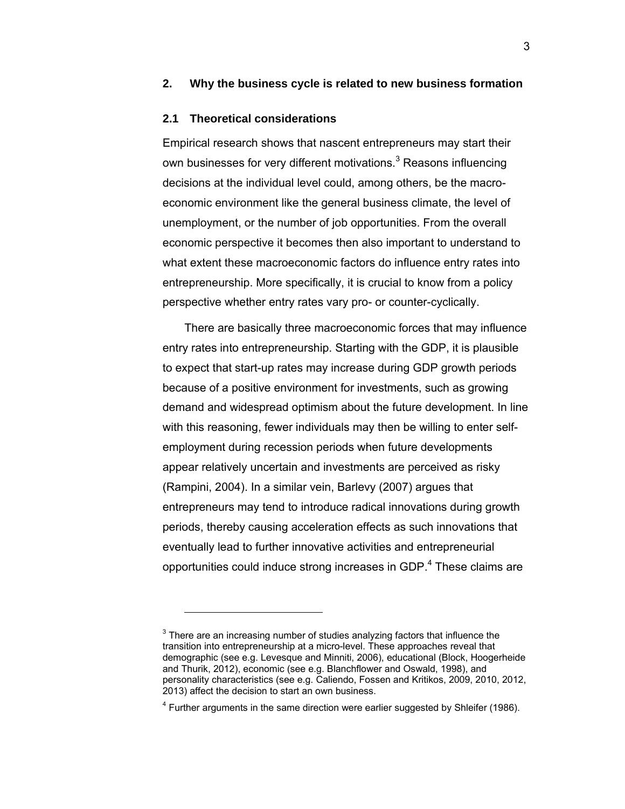#### **2. Why the business cycle is related to new business formation**

#### **2.1 Theoretical considerations**

-

Empirical research shows that nascent entrepreneurs may start their own businesses for very different motivations.<sup>3</sup> Reasons influencing decisions at the individual level could, among others, be the macroeconomic environment like the general business climate, the level of unemployment, or the number of job opportunities. From the overall economic perspective it becomes then also important to understand to what extent these macroeconomic factors do influence entry rates into entrepreneurship. More specifically, it is crucial to know from a policy perspective whether entry rates vary pro- or counter-cyclically.

There are basically three macroeconomic forces that may influence entry rates into entrepreneurship. Starting with the GDP, it is plausible to expect that start-up rates may increase during GDP growth periods because of a positive environment for investments, such as growing demand and widespread optimism about the future development. In line with this reasoning, fewer individuals may then be willing to enter selfemployment during recession periods when future developments appear relatively uncertain and investments are perceived as risky (Rampini, 2004). In a similar vein, Barlevy (2007) argues that entrepreneurs may tend to introduce radical innovations during growth periods, thereby causing acceleration effects as such innovations that eventually lead to further innovative activities and entrepreneurial opportunities could induce strong increases in GDP.<sup>4</sup> These claims are

 $3$  There are an increasing number of studies analyzing factors that influence the transition into entrepreneurship at a micro-level. These approaches reveal that demographic (see e.g. Levesque and Minniti, 2006), educational (Block, Hoogerheide and Thurik, 2012), economic (see e.g. Blanchflower and Oswald, 1998), and personality characteristics (see e.g. Caliendo, Fossen and Kritikos, 2009, 2010, 2012, 2013) affect the decision to start an own business.

 $4$  Further arguments in the same direction were earlier suggested by Shleifer (1986).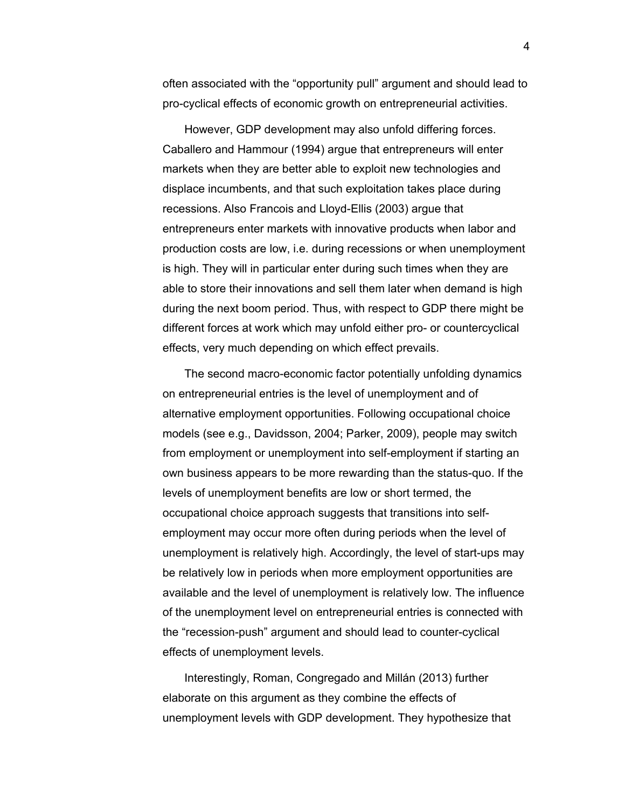often associated with the "opportunity pull" argument and should lead to pro-cyclical effects of economic growth on entrepreneurial activities.

However, GDP development may also unfold differing forces. Caballero and Hammour (1994) argue that entrepreneurs will enter markets when they are better able to exploit new technologies and displace incumbents, and that such exploitation takes place during recessions. Also Francois and Lloyd-Ellis (2003) argue that entrepreneurs enter markets with innovative products when labor and production costs are low, i.e. during recessions or when unemployment is high. They will in particular enter during such times when they are able to store their innovations and sell them later when demand is high during the next boom period. Thus, with respect to GDP there might be different forces at work which may unfold either pro- or countercyclical effects, very much depending on which effect prevails.

The second macro-economic factor potentially unfolding dynamics on entrepreneurial entries is the level of unemployment and of alternative employment opportunities. Following occupational choice models (see e.g., Davidsson, 2004; Parker, 2009), people may switch from employment or unemployment into self-employment if starting an own business appears to be more rewarding than the status-quo. If the levels of unemployment benefits are low or short termed, the occupational choice approach suggests that transitions into selfemployment may occur more often during periods when the level of unemployment is relatively high. Accordingly, the level of start-ups may be relatively low in periods when more employment opportunities are available and the level of unemployment is relatively low. The influence of the unemployment level on entrepreneurial entries is connected with the "recession-push" argument and should lead to counter-cyclical effects of unemployment levels.

Interestingly, Roman, Congregado and Millán (2013) further elaborate on this argument as they combine the effects of unemployment levels with GDP development. They hypothesize that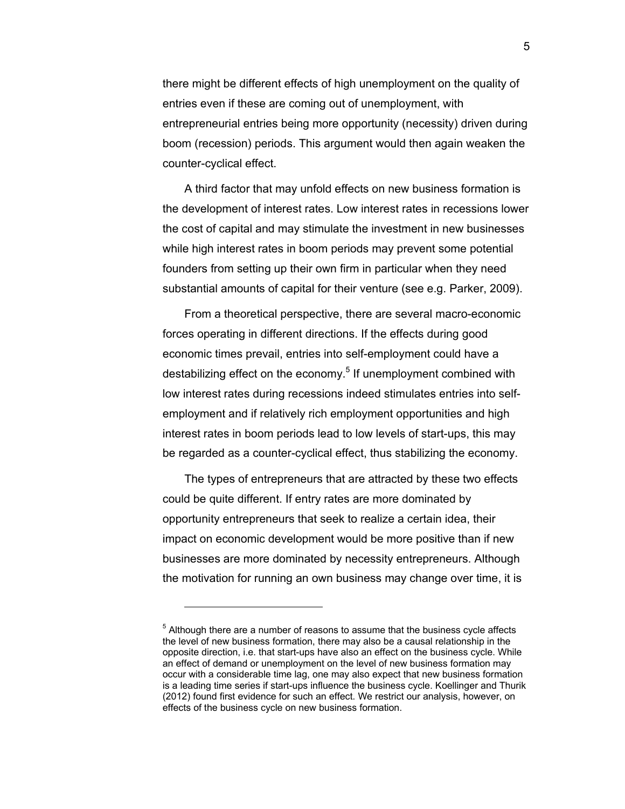there might be different effects of high unemployment on the quality of entries even if these are coming out of unemployment, with entrepreneurial entries being more opportunity (necessity) driven during boom (recession) periods. This argument would then again weaken the counter-cyclical effect.

A third factor that may unfold effects on new business formation is the development of interest rates. Low interest rates in recessions lower the cost of capital and may stimulate the investment in new businesses while high interest rates in boom periods may prevent some potential founders from setting up their own firm in particular when they need substantial amounts of capital for their venture (see e.g. Parker, 2009).

From a theoretical perspective, there are several macro-economic forces operating in different directions. If the effects during good economic times prevail, entries into self-employment could have a destabilizing effect on the economy.<sup>5</sup> If unemployment combined with low interest rates during recessions indeed stimulates entries into selfemployment and if relatively rich employment opportunities and high interest rates in boom periods lead to low levels of start-ups, this may be regarded as a counter-cyclical effect, thus stabilizing the economy.

The types of entrepreneurs that are attracted by these two effects could be quite different. If entry rates are more dominated by opportunity entrepreneurs that seek to realize a certain idea, their impact on economic development would be more positive than if new businesses are more dominated by necessity entrepreneurs. Although the motivation for running an own business may change over time, it is

 $<sup>5</sup>$  Although there are a number of reasons to assume that the business cycle affects</sup> the level of new business formation, there may also be a causal relationship in the opposite direction, i.e. that start-ups have also an effect on the business cycle. While an effect of demand or unemployment on the level of new business formation may occur with a considerable time lag, one may also expect that new business formation is a leading time series if start-ups influence the business cycle. Koellinger and Thurik (2012) found first evidence for such an effect. We restrict our analysis, however, on effects of the business cycle on new business formation.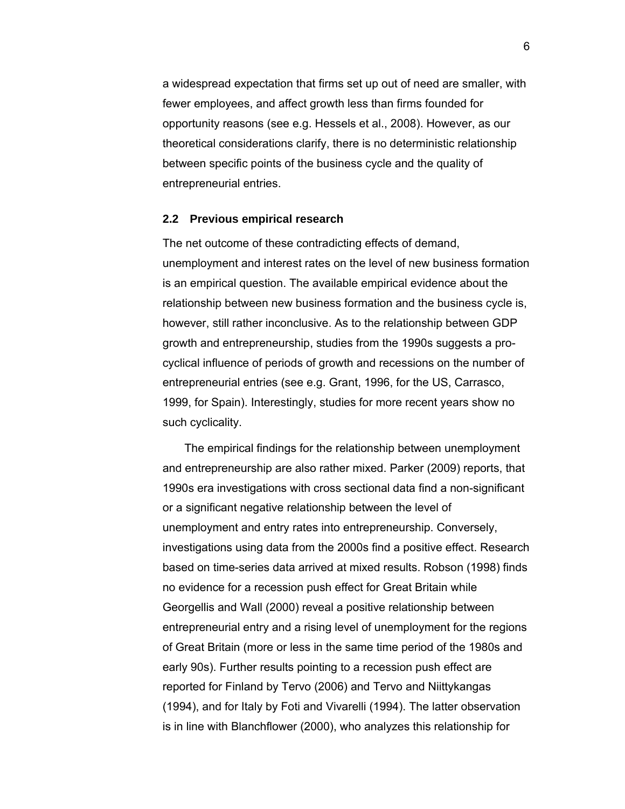a widespread expectation that firms set up out of need are smaller, with fewer employees, and affect growth less than firms founded for opportunity reasons (see e.g. Hessels et al., 2008). However, as our theoretical considerations clarify, there is no deterministic relationship between specific points of the business cycle and the quality of entrepreneurial entries.

#### **2.2 Previous empirical research**

The net outcome of these contradicting effects of demand, unemployment and interest rates on the level of new business formation is an empirical question. The available empirical evidence about the relationship between new business formation and the business cycle is, however, still rather inconclusive. As to the relationship between GDP growth and entrepreneurship, studies from the 1990s suggests a procyclical influence of periods of growth and recessions on the number of entrepreneurial entries (see e.g. Grant, 1996, for the US, Carrasco, 1999, for Spain). Interestingly, studies for more recent years show no such cyclicality.

The empirical findings for the relationship between unemployment and entrepreneurship are also rather mixed. Parker (2009) reports, that 1990s era investigations with cross sectional data find a non-significant or a significant negative relationship between the level of unemployment and entry rates into entrepreneurship. Conversely, investigations using data from the 2000s find a positive effect. Research based on time-series data arrived at mixed results. Robson (1998) finds no evidence for a recession push effect for Great Britain while Georgellis and Wall (2000) reveal a positive relationship between entrepreneurial entry and a rising level of unemployment for the regions of Great Britain (more or less in the same time period of the 1980s and early 90s). Further results pointing to a recession push effect are reported for Finland by Tervo (2006) and Tervo and Niittykangas (1994), and for Italy by Foti and Vivarelli (1994). The latter observation is in line with Blanchflower (2000), who analyzes this relationship for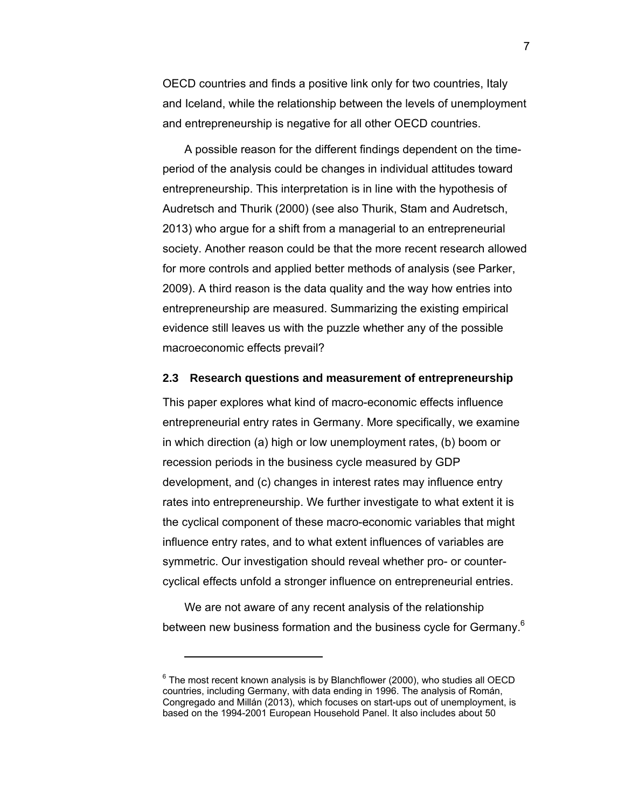OECD countries and finds a positive link only for two countries, Italy and Iceland, while the relationship between the levels of unemployment and entrepreneurship is negative for all other OECD countries.

A possible reason for the different findings dependent on the timeperiod of the analysis could be changes in individual attitudes toward entrepreneurship. This interpretation is in line with the hypothesis of Audretsch and Thurik (2000) (see also Thurik, Stam and Audretsch, 2013) who argue for a shift from a managerial to an entrepreneurial society. Another reason could be that the more recent research allowed for more controls and applied better methods of analysis (see Parker, 2009). A third reason is the data quality and the way how entries into entrepreneurship are measured. Summarizing the existing empirical evidence still leaves us with the puzzle whether any of the possible macroeconomic effects prevail?

#### **2.3 Research questions and measurement of entrepreneurship**

This paper explores what kind of macro-economic effects influence entrepreneurial entry rates in Germany. More specifically, we examine in which direction (a) high or low unemployment rates, (b) boom or recession periods in the business cycle measured by GDP development, and (c) changes in interest rates may influence entry rates into entrepreneurship. We further investigate to what extent it is the cyclical component of these macro-economic variables that might influence entry rates, and to what extent influences of variables are symmetric. Our investigation should reveal whether pro- or countercyclical effects unfold a stronger influence on entrepreneurial entries.

We are not aware of any recent analysis of the relationship between new business formation and the business cycle for Germany.<sup>6</sup>

 $6$  The most recent known analysis is by Blanchflower (2000), who studies all OECD countries, including Germany, with data ending in 1996. The analysis of Román, Congregado and Millán (2013), which focuses on start-ups out of unemployment, is based on the 1994-2001 European Household Panel. It also includes about 50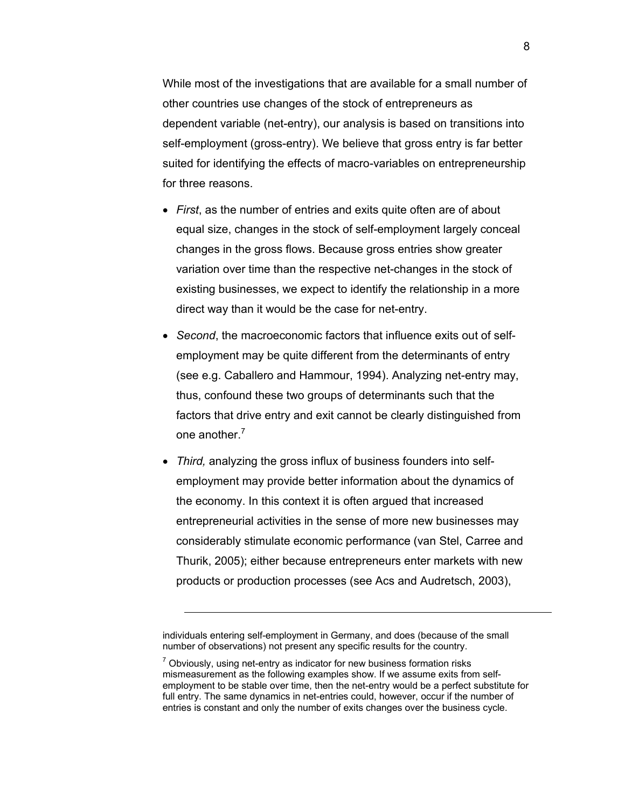While most of the investigations that are available for a small number of other countries use changes of the stock of entrepreneurs as dependent variable (net-entry), our analysis is based on transitions into self-employment (gross-entry). We believe that gross entry is far better suited for identifying the effects of macro-variables on entrepreneurship for three reasons.

- *First*, as the number of entries and exits quite often are of about equal size, changes in the stock of self-employment largely conceal changes in the gross flows. Because gross entries show greater variation over time than the respective net-changes in the stock of existing businesses, we expect to identify the relationship in a more direct way than it would be the case for net-entry.
- *Second*, the macroeconomic factors that influence exits out of selfemployment may be quite different from the determinants of entry (see e.g. Caballero and Hammour, 1994). Analyzing net-entry may, thus, confound these two groups of determinants such that the factors that drive entry and exit cannot be clearly distinguished from one another.<sup>7</sup>
- *Third,* analyzing the gross influx of business founders into selfemployment may provide better information about the dynamics of the economy. In this context it is often argued that increased entrepreneurial activities in the sense of more new businesses may considerably stimulate economic performance (van Stel, Carree and Thurik, 2005); either because entrepreneurs enter markets with new products or production processes (see Acs and Audretsch, 2003),

individuals entering self-employment in Germany, and does (because of the small number of observations) not present any specific results for the country.

 $<sup>7</sup>$  Obviously, using net-entry as indicator for new business formation risks</sup> mismeasurement as the following examples show. If we assume exits from selfemployment to be stable over time, then the net-entry would be a perfect substitute for full entry. The same dynamics in net-entries could, however, occur if the number of entries is constant and only the number of exits changes over the business cycle.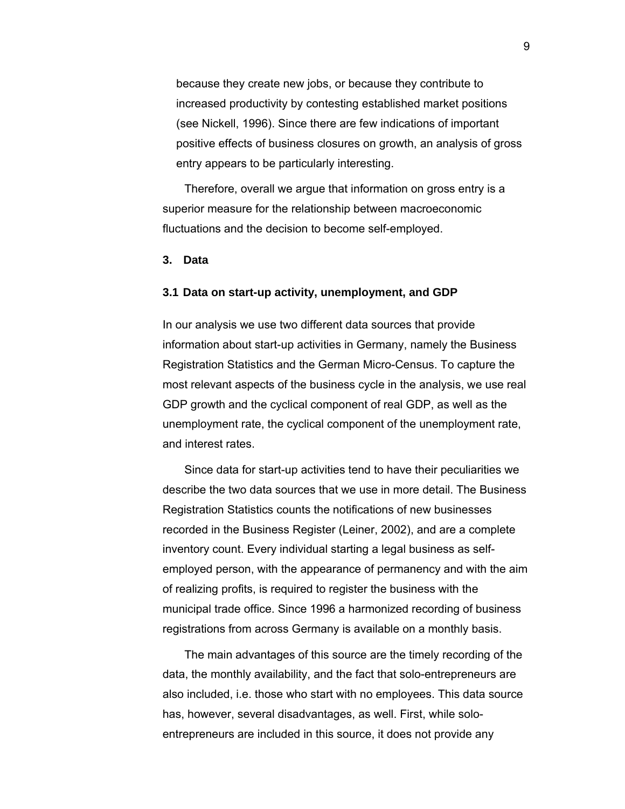because they create new jobs, or because they contribute to increased productivity by contesting established market positions (see Nickell, 1996). Since there are few indications of important positive effects of business closures on growth, an analysis of gross entry appears to be particularly interesting.

Therefore, overall we argue that information on gross entry is a superior measure for the relationship between macroeconomic fluctuations and the decision to become self-employed.

#### **3. Data**

#### **3.1 Data on start-up activity, unemployment, and GDP**

In our analysis we use two different data sources that provide information about start-up activities in Germany, namely the Business Registration Statistics and the German Micro-Census. To capture the most relevant aspects of the business cycle in the analysis, we use real GDP growth and the cyclical component of real GDP, as well as the unemployment rate, the cyclical component of the unemployment rate, and interest rates.

Since data for start-up activities tend to have their peculiarities we describe the two data sources that we use in more detail. The Business Registration Statistics counts the notifications of new businesses recorded in the Business Register (Leiner, 2002), and are a complete inventory count. Every individual starting a legal business as selfemployed person, with the appearance of permanency and with the aim of realizing profits, is required to register the business with the municipal trade office. Since 1996 a harmonized recording of business registrations from across Germany is available on a monthly basis.

The main advantages of this source are the timely recording of the data, the monthly availability, and the fact that solo-entrepreneurs are also included, i.e. those who start with no employees. This data source has, however, several disadvantages, as well. First, while soloentrepreneurs are included in this source, it does not provide any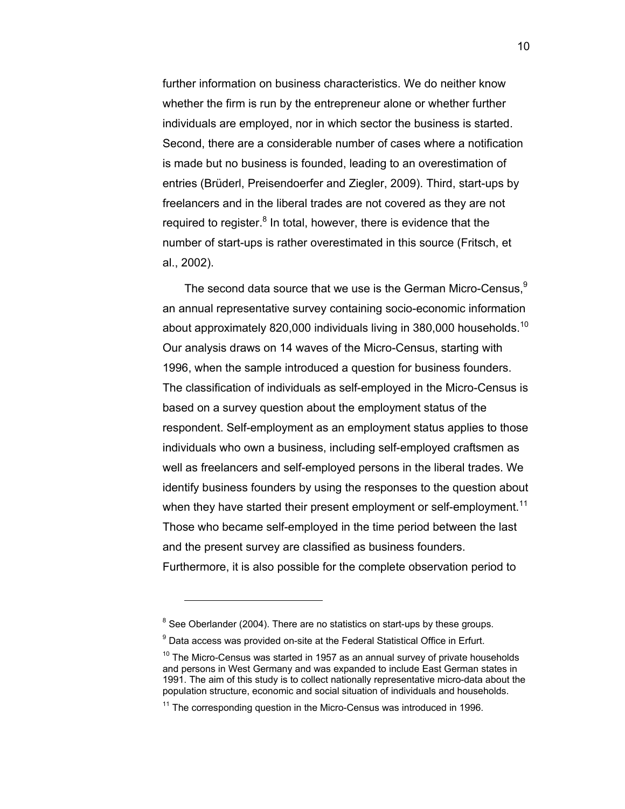further information on business characteristics. We do neither know whether the firm is run by the entrepreneur alone or whether further individuals are employed, nor in which sector the business is started. Second, there are a considerable number of cases where a notification is made but no business is founded, leading to an overestimation of entries (Brüderl, Preisendoerfer and Ziegler, 2009). Third, start-ups by freelancers and in the liberal trades are not covered as they are not required to register.<sup>8</sup> In total, however, there is evidence that the number of start-ups is rather overestimated in this source (Fritsch, et al., 2002).

The second data source that we use is the German Micro-Census.<sup>9</sup> an annual representative survey containing socio-economic information about approximately 820,000 individuals living in 380,000 households.<sup>10</sup> Our analysis draws on 14 waves of the Micro-Census, starting with 1996, when the sample introduced a question for business founders. The classification of individuals as self-employed in the Micro-Census is based on a survey question about the employment status of the respondent. Self-employment as an employment status applies to those individuals who own a business, including self-employed craftsmen as well as freelancers and self-employed persons in the liberal trades. We identify business founders by using the responses to the question about when they have started their present employment or self-employment.<sup>11</sup> Those who became self-employed in the time period between the last and the present survey are classified as business founders. Furthermore, it is also possible for the complete observation period to

 $8$  See Oberlander (2004). There are no statistics on start-ups by these groups.

 $9$  Data access was provided on-site at the Federal Statistical Office in Erfurt.

 $10$  The Micro-Census was started in 1957 as an annual survey of private households and persons in West Germany and was expanded to include East German states in 1991. The aim of this study is to collect nationally representative micro-data about the population structure, economic and social situation of individuals and households.

 $11$  The corresponding question in the Micro-Census was introduced in 1996.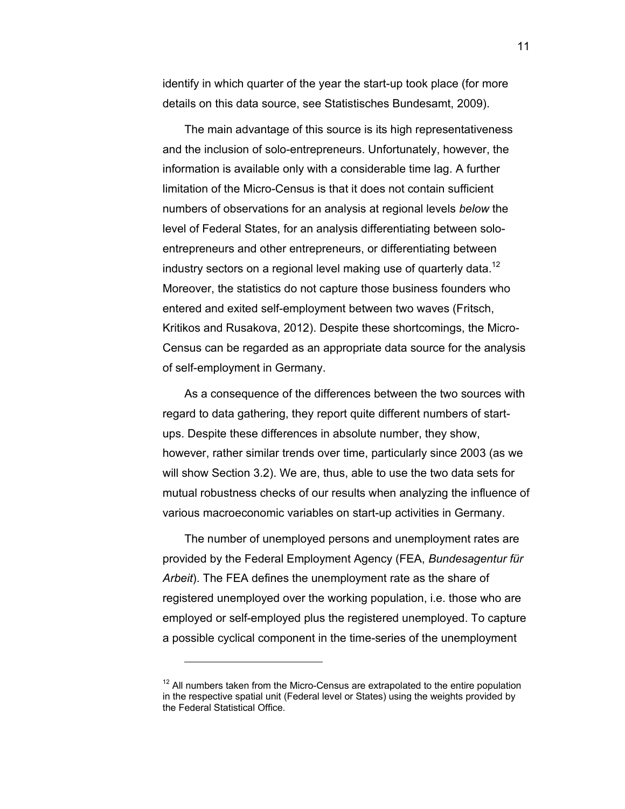identify in which quarter of the year the start-up took place (for more details on this data source, see Statistisches Bundesamt, 2009).

The main advantage of this source is its high representativeness and the inclusion of solo-entrepreneurs. Unfortunately, however, the information is available only with a considerable time lag. A further limitation of the Micro-Census is that it does not contain sufficient numbers of observations for an analysis at regional levels *below* the level of Federal States, for an analysis differentiating between soloentrepreneurs and other entrepreneurs, or differentiating between industry sectors on a regional level making use of quarterly data.<sup>12</sup> Moreover, the statistics do not capture those business founders who entered and exited self-employment between two waves (Fritsch, Kritikos and Rusakova, 2012). Despite these shortcomings, the Micro-Census can be regarded as an appropriate data source for the analysis of self-employment in Germany.

As a consequence of the differences between the two sources with regard to data gathering, they report quite different numbers of startups. Despite these differences in absolute number, they show, however, rather similar trends over time, particularly since 2003 (as we will show Section 3.2). We are, thus, able to use the two data sets for mutual robustness checks of our results when analyzing the influence of various macroeconomic variables on start-up activities in Germany.

The number of unemployed persons and unemployment rates are provided by the Federal Employment Agency (FEA, *Bundesagentur für Arbeit*). The FEA defines the unemployment rate as the share of registered unemployed over the working population, i.e. those who are employed or self-employed plus the registered unemployed. To capture a possible cyclical component in the time-series of the unemployment

 $12$  All numbers taken from the Micro-Census are extrapolated to the entire population in the respective spatial unit (Federal level or States) using the weights provided by the Federal Statistical Office.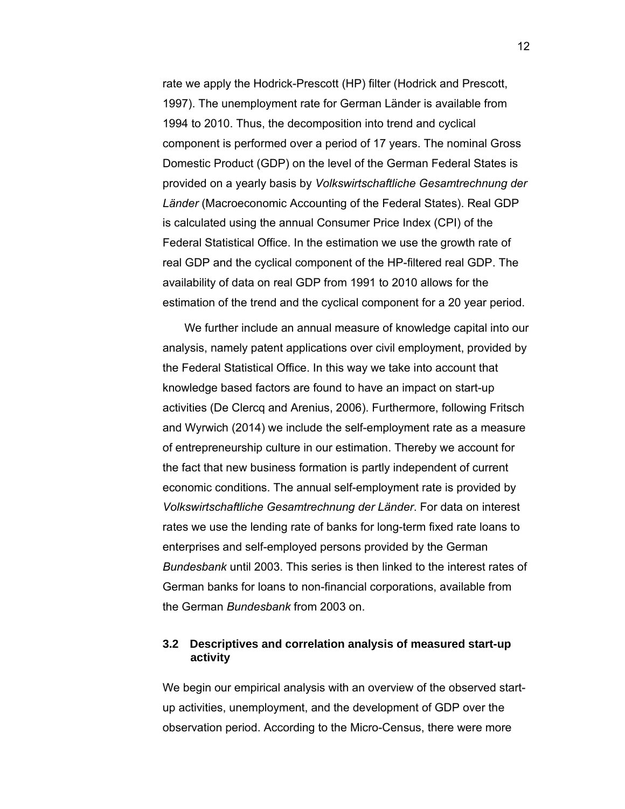rate we apply the Hodrick-Prescott (HP) filter (Hodrick and Prescott, 1997). The unemployment rate for German Länder is available from 1994 to 2010. Thus, the decomposition into trend and cyclical component is performed over a period of 17 years. The nominal Gross Domestic Product (GDP) on the level of the German Federal States is provided on a yearly basis by *Volkswirtschaftliche Gesamtrechnung der Länder* (Macroeconomic Accounting of the Federal States). Real GDP is calculated using the annual Consumer Price Index (CPI) of the Federal Statistical Office. In the estimation we use the growth rate of real GDP and the cyclical component of the HP-filtered real GDP. The availability of data on real GDP from 1991 to 2010 allows for the estimation of the trend and the cyclical component for a 20 year period.

We further include an annual measure of knowledge capital into our analysis, namely patent applications over civil employment, provided by the Federal Statistical Office. In this way we take into account that knowledge based factors are found to have an impact on start-up activities (De Clercq and Arenius, 2006). Furthermore, following Fritsch and Wyrwich (2014) we include the self-employment rate as a measure of entrepreneurship culture in our estimation. Thereby we account for the fact that new business formation is partly independent of current economic conditions. The annual self-employment rate is provided by *Volkswirtschaftliche Gesamtrechnung der Länder*. For data on interest rates we use the lending rate of banks for long-term fixed rate loans to enterprises and self-employed persons provided by the German *Bundesbank* until 2003. This series is then linked to the interest rates of German banks for loans to non-financial corporations, available from the German *Bundesbank* from 2003 on.

#### **3.2 Descriptives and correlation analysis of measured start-up activity**

We begin our empirical analysis with an overview of the observed startup activities, unemployment, and the development of GDP over the observation period. According to the Micro-Census, there were more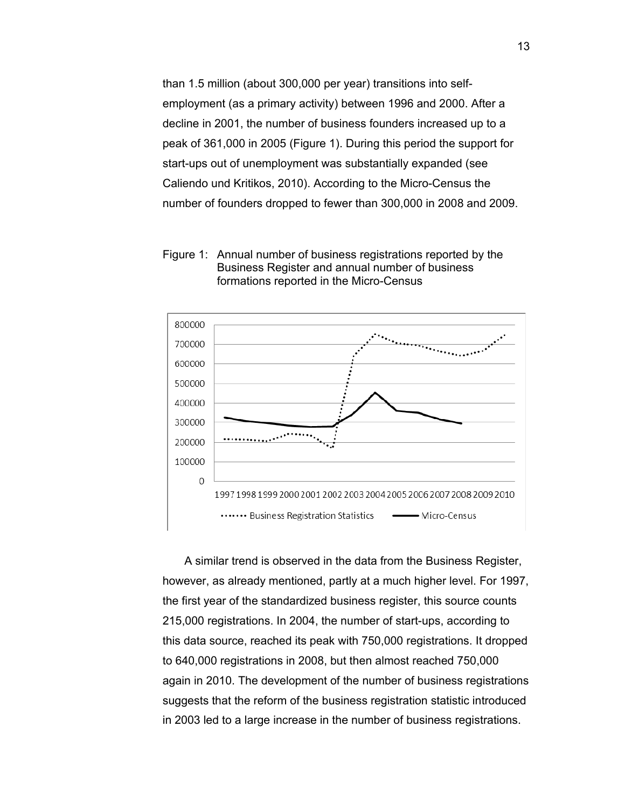than 1.5 million (about 300,000 per year) transitions into selfemployment (as a primary activity) between 1996 and 2000. After a decline in 2001, the number of business founders increased up to a peak of 361,000 in 2005 (Figure 1). During this period the support for start-ups out of unemployment was substantially expanded (see Caliendo und Kritikos, 2010). According to the Micro-Census the number of founders dropped to fewer than 300,000 in 2008 and 2009.

Figure 1: Annual number of business registrations reported by the Business Register and annual number of business formations reported in the Micro-Census



A similar trend is observed in the data from the Business Register, however, as already mentioned, partly at a much higher level. For 1997, the first year of the standardized business register, this source counts 215,000 registrations. In 2004, the number of start-ups, according to this data source, reached its peak with 750,000 registrations. It dropped to 640,000 registrations in 2008, but then almost reached 750,000 again in 2010. The development of the number of business registrations suggests that the reform of the business registration statistic introduced in 2003 led to a large increase in the number of business registrations.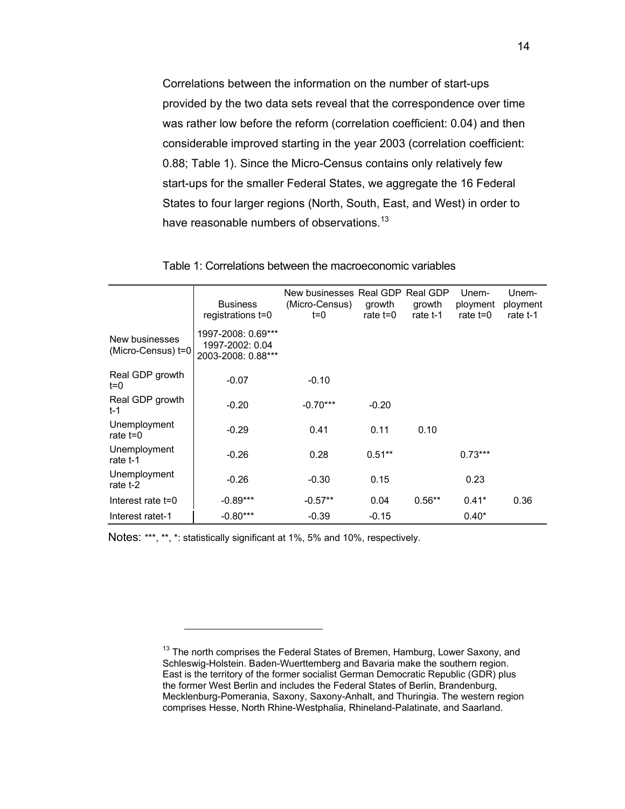Correlations between the information on the number of start-ups provided by the two data sets reveal that the correspondence over time was rather low before the reform (correlation coefficient: 0.04) and then considerable improved starting in the year 2003 (correlation coefficient: 0.88; Table 1). Since the Micro-Census contains only relatively few start-ups for the smaller Federal States, we aggregate the 16 Federal States to four larger regions (North, South, East, and West) in order to have reasonable numbers of observations.<sup>13</sup>

|                                      | <b>Business</b><br>registrations t=0                        | New businesses Real GDP Real GDP<br>(Micro-Census)<br>$t=0$ | growth<br>rate t=0 | growth<br>rate t-1 | Unem-<br>ployment<br>rate $t = 0$ | Unem-<br>ployment<br>rate t-1 |
|--------------------------------------|-------------------------------------------------------------|-------------------------------------------------------------|--------------------|--------------------|-----------------------------------|-------------------------------|
| New businesses<br>(Micro-Census) t=0 | 1997-2008: 0.69***<br>1997-2002: 0.04<br>2003-2008: 0.88*** |                                                             |                    |                    |                                   |                               |
| Real GDP growth<br>$t=0$             | $-0.07$                                                     | $-0.10$                                                     |                    |                    |                                   |                               |
| Real GDP growth<br>$t-1$             | $-0.20$                                                     | $-0.70***$                                                  | $-0.20$            |                    |                                   |                               |
| Unemployment<br>rate $t=0$           | $-0.29$                                                     | 0.41                                                        | 0.11               | 0.10               |                                   |                               |
| Unemployment<br>rate t-1             | $-0.26$                                                     | 0.28                                                        | $0.51***$          |                    | $0.73***$                         |                               |
| Unemployment<br>rate t-2             | $-0.26$                                                     | $-0.30$                                                     | 0.15               |                    | 0.23                              |                               |
| Interest rate t=0                    | $-0.89***$                                                  | $-0.57**$                                                   | 0.04               | $0.56**$           | $0.41*$                           | 0.36                          |
| Interest ratet-1                     | $-0.80***$                                                  | $-0.39$                                                     | $-0.15$            |                    | $0.40*$                           |                               |

Table 1: Correlations between the macroeconomic variables

Notes: \*\*\*, \*\*, \*: statistically significant at 1%, 5% and 10%, respectively.

 $13$  The north comprises the Federal States of Bremen, Hamburg, Lower Saxony, and Schleswig-Holstein. Baden-Wuerttemberg and Bavaria make the southern region. East is the territory of the former socialist German Democratic Republic (GDR) plus the former West Berlin and includes the Federal States of Berlin, Brandenburg, Mecklenburg-Pomerania, Saxony, Saxony-Anhalt, and Thuringia. The western region comprises Hesse, North Rhine-Westphalia, Rhineland-Palatinate, and Saarland.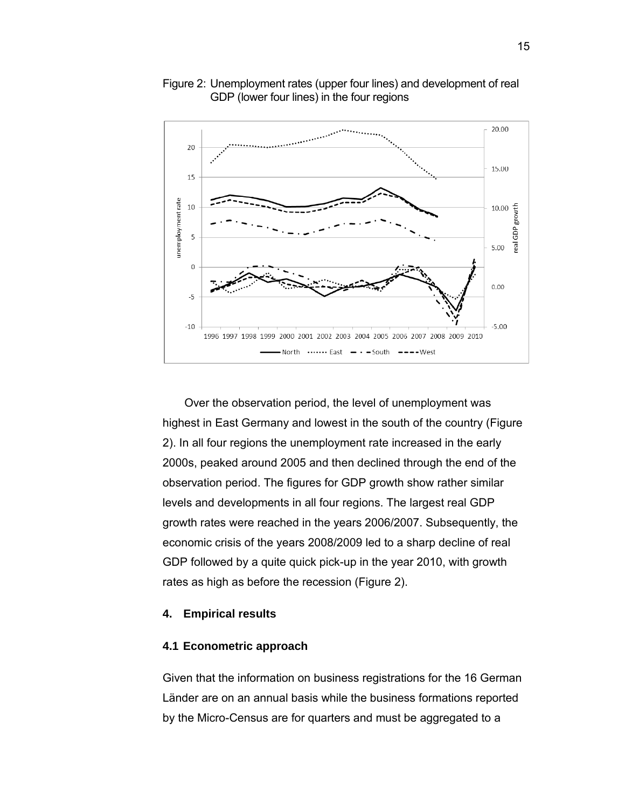

#### Figure 2: Unemployment rates (upper four lines) and development of real GDP (lower four lines) in the four regions

Over the observation period, the level of unemployment was highest in East Germany and lowest in the south of the country (Figure 2). In all four regions the unemployment rate increased in the early 2000s, peaked around 2005 and then declined through the end of the observation period. The figures for GDP growth show rather similar levels and developments in all four regions. The largest real GDP growth rates were reached in the years 2006/2007. Subsequently, the economic crisis of the years 2008/2009 led to a sharp decline of real GDP followed by a quite quick pick-up in the year 2010, with growth rates as high as before the recession (Figure 2).

#### **4. Empirical results**

#### **4.1 Econometric approach**

Given that the information on business registrations for the 16 German Länder are on an annual basis while the business formations reported by the Micro-Census are for quarters and must be aggregated to a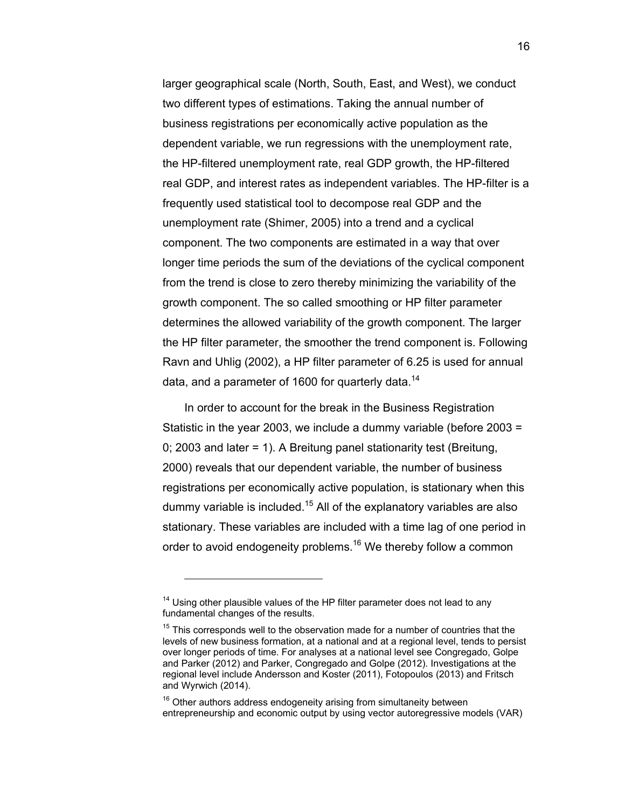larger geographical scale (North, South, East, and West), we conduct two different types of estimations. Taking the annual number of business registrations per economically active population as the dependent variable, we run regressions with the unemployment rate, the HP-filtered unemployment rate, real GDP growth, the HP-filtered real GDP, and interest rates as independent variables. The HP-filter is a frequently used statistical tool to decompose real GDP and the unemployment rate (Shimer, 2005) into a trend and a cyclical component. The two components are estimated in a way that over longer time periods the sum of the deviations of the cyclical component from the trend is close to zero thereby minimizing the variability of the growth component. The so called smoothing or HP filter parameter determines the allowed variability of the growth component. The larger the HP filter parameter, the smoother the trend component is. Following Ravn and Uhlig (2002), a HP filter parameter of 6.25 is used for annual data, and a parameter of 1600 for quarterly data.<sup>14</sup>

In order to account for the break in the Business Registration Statistic in the year 2003, we include a dummy variable (before 2003 = 0; 2003 and later = 1). A Breitung panel stationarity test (Breitung, 2000) reveals that our dependent variable, the number of business registrations per economically active population, is stationary when this dummy variable is included.<sup>15</sup> All of the explanatory variables are also stationary. These variables are included with a time lag of one period in order to avoid endogeneity problems.<sup>16</sup> We thereby follow a common

 $14$  Using other plausible values of the HP filter parameter does not lead to any fundamental changes of the results.

 $15$  This corresponds well to the observation made for a number of countries that the levels of new business formation, at a national and at a regional level, tends to persist over longer periods of time. For analyses at a national level see Congregado, Golpe and Parker (2012) and Parker, Congregado and Golpe (2012). Investigations at the regional level include Andersson and Koster (2011), Fotopoulos (2013) and Fritsch and Wyrwich (2014).

 $16$  Other authors address endogeneity arising from simultaneity between entrepreneurship and economic output by using vector autoregressive models (VAR)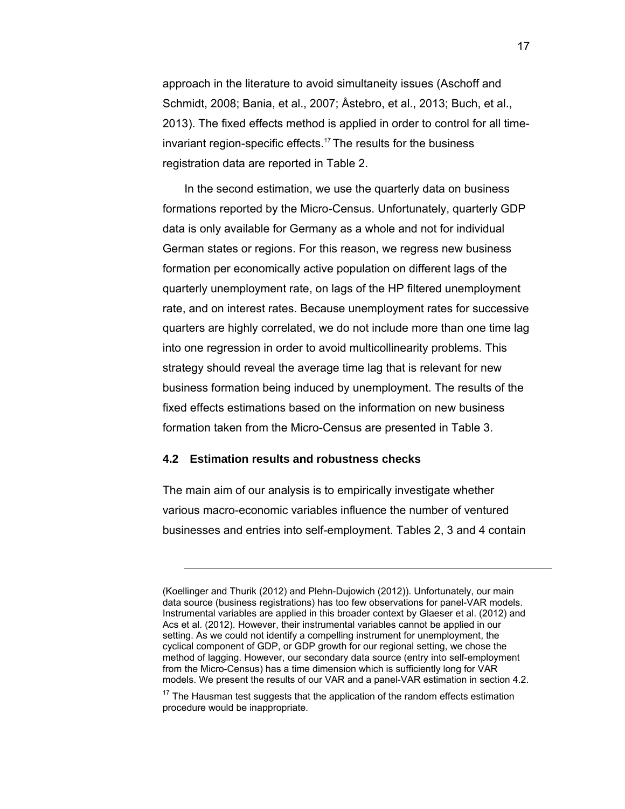approach in the literature to avoid simultaneity issues (Aschoff and Schmidt, 2008; Bania, et al., 2007; Åstebro, et al., 2013; Buch, et al., 2013). The fixed effects method is applied in order to control for all timeinvariant region-specific effects.<sup>17</sup> The results for the business registration data are reported in Table 2.

In the second estimation, we use the quarterly data on business formations reported by the Micro-Census. Unfortunately, quarterly GDP data is only available for Germany as a whole and not for individual German states or regions. For this reason, we regress new business formation per economically active population on different lags of the quarterly unemployment rate, on lags of the HP filtered unemployment rate, and on interest rates. Because unemployment rates for successive quarters are highly correlated, we do not include more than one time lag into one regression in order to avoid multicollinearity problems. This strategy should reveal the average time lag that is relevant for new business formation being induced by unemployment. The results of the fixed effects estimations based on the information on new business formation taken from the Micro-Census are presented in Table 3.

#### **4.2 Estimation results and robustness checks**

-

The main aim of our analysis is to empirically investigate whether various macro-economic variables influence the number of ventured businesses and entries into self-employment. Tables 2, 3 and 4 contain

<sup>(</sup>Koellinger and Thurik (2012) and Plehn-Dujowich (2012)). Unfortunately, our main data source (business registrations) has too few observations for panel-VAR models. Instrumental variables are applied in this broader context by Glaeser et al. (2012) and Acs et al. (2012). However, their instrumental variables cannot be applied in our setting. As we could not identify a compelling instrument for unemployment, the cyclical component of GDP, or GDP growth for our regional setting, we chose the method of lagging. However, our secondary data source (entry into self-employment from the Micro-Census) has a time dimension which is sufficiently long for VAR models. We present the results of our VAR and a panel-VAR estimation in section 4.2.

 $17$  The Hausman test suggests that the application of the random effects estimation procedure would be inappropriate.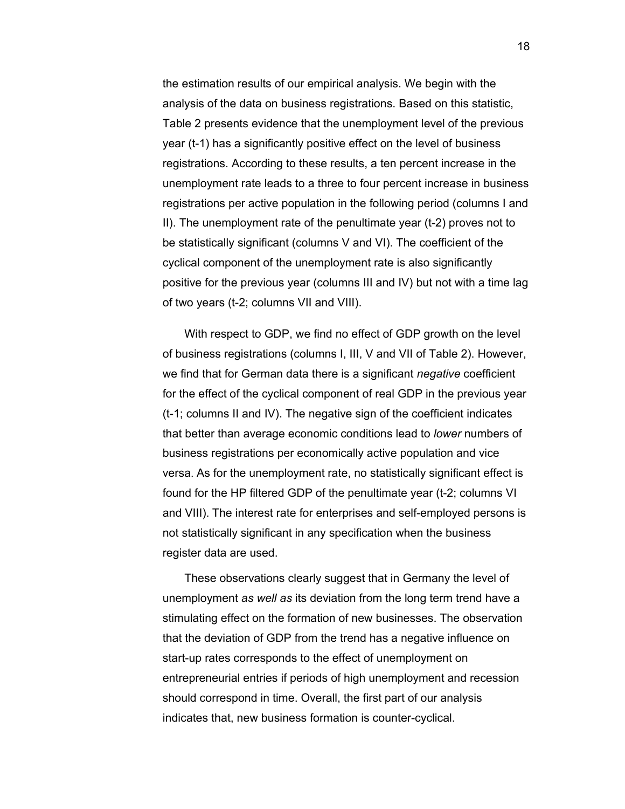the estimation results of our empirical analysis. We begin with the analysis of the data on business registrations. Based on this statistic, Table 2 presents evidence that the unemployment level of the previous year (t-1) has a significantly positive effect on the level of business registrations. According to these results, a ten percent increase in the unemployment rate leads to a three to four percent increase in business registrations per active population in the following period (columns I and II). The unemployment rate of the penultimate year (t-2) proves not to be statistically significant (columns V and VI). The coefficient of the cyclical component of the unemployment rate is also significantly positive for the previous year (columns III and IV) but not with a time lag of two years (t-2; columns VII and VIII).

With respect to GDP, we find no effect of GDP growth on the level of business registrations (columns I, III, V and VII of Table 2). However, we find that for German data there is a significant *negative* coefficient for the effect of the cyclical component of real GDP in the previous year (t-1; columns II and IV). The negative sign of the coefficient indicates that better than average economic conditions lead to *lower* numbers of business registrations per economically active population and vice versa. As for the unemployment rate, no statistically significant effect is found for the HP filtered GDP of the penultimate year (t-2; columns VI and VIII). The interest rate for enterprises and self-employed persons is not statistically significant in any specification when the business register data are used.

These observations clearly suggest that in Germany the level of unemployment *as well as* its deviation from the long term trend have a stimulating effect on the formation of new businesses. The observation that the deviation of GDP from the trend has a negative influence on start-up rates corresponds to the effect of unemployment on entrepreneurial entries if periods of high unemployment and recession should correspond in time. Overall, the first part of our analysis indicates that, new business formation is counter-cyclical.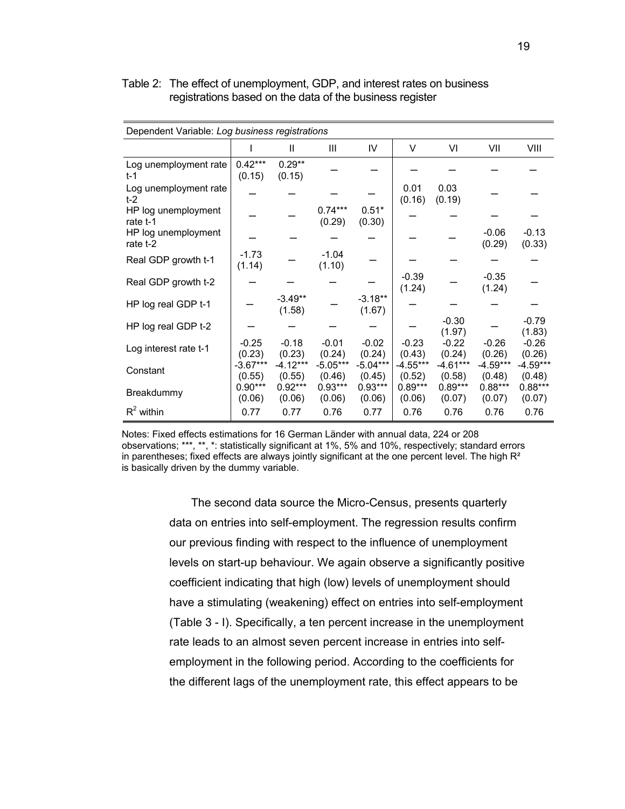| Dependent Variable: Log business registrations |                      |                      |                      |                      |                     |                      |                      |                      |
|------------------------------------------------|----------------------|----------------------|----------------------|----------------------|---------------------|----------------------|----------------------|----------------------|
|                                                | I                    | Ш                    | Ш                    | IV                   | V                   | VI                   | VII                  | VIII                 |
| Log unemployment rate<br>t-1                   | $0.42***$<br>(0.15)  | $0.29**$<br>(0.15)   |                      |                      |                     |                      |                      |                      |
| Log unemployment rate<br>$t-2$                 |                      |                      |                      |                      | 0.01<br>(0.16)      | 0.03<br>(0.19)       |                      |                      |
| HP log unemployment<br>rate t-1                |                      |                      | $0.74***$<br>(0.29)  | $0.51*$<br>(0.30)    |                     |                      |                      |                      |
| HP log unemployment<br>rate t-2                |                      |                      |                      |                      |                     |                      | $-0.06$<br>(0.29)    | $-0.13$<br>(0.33)    |
| Real GDP growth t-1                            | $-1.73$<br>(1.14)    |                      | $-1.04$<br>(1.10)    |                      |                     |                      |                      |                      |
| Real GDP growth t-2                            |                      |                      |                      |                      | $-0.39$<br>(1.24)   |                      | $-0.35$<br>(1.24)    |                      |
| HP log real GDP t-1                            |                      | $-3.49**$<br>(1.58)  |                      | $-3.18**$<br>(1.67)  |                     |                      |                      |                      |
| HP log real GDP t-2                            |                      |                      |                      |                      |                     | $-0.30$<br>(1.97)    |                      | $-0.79$<br>(1.83)    |
| Log interest rate t-1                          | $-0.25$<br>(0.23)    | $-0.18$<br>(0.23)    | $-0.01$<br>(0.24)    | $-0.02$<br>(0.24)    | $-0.23$<br>(0.43)   | $-0.22$<br>(0.24)    | $-0.26$<br>(0.26)    | $-0.26$<br>(0.26)    |
| Constant                                       | $-3.67***$<br>(0.55) | $-4.12***$<br>(0.55) | $-5.05***$<br>(0.46) | $-5.04***$<br>(0.45) | -4.55***<br>(0.52)  | $-4.61***$<br>(0.58) | $-4.59***$<br>(0.48) | $-4.59***$<br>(0.48) |
| Breakdummy                                     | $0.90***$<br>(0.06)  | $0.92***$<br>(0.06)  | $0.93***$<br>(0.06)  | $0.93***$<br>(0.06)  | $0.89***$<br>(0.06) | $0.89***$<br>(0.07)  | $0.88***$<br>(0.07)  | $0.88***$<br>(0.07)  |
| $R^2$ within                                   | 0.77                 | 0.77                 | 0.76                 | 0.77                 | 0.76                | 0.76                 | 0.76                 | 0.76                 |

#### Table 2: The effect of unemployment, GDP, and interest rates on business registrations based on the data of the business register

Notes: Fixed effects estimations for 16 German Länder with annual data, 224 or 208 observations; \*\*\*, \*\*, \*: statistically significant at 1%, 5% and 10%, respectively; standard errors in parentheses; fixed effects are always jointly significant at the one percent level. The high  $R<sup>2</sup>$ is basically driven by the dummy variable.

> The second data source the Micro-Census, presents quarterly data on entries into self-employment. The regression results confirm our previous finding with respect to the influence of unemployment levels on start-up behaviour. We again observe a significantly positive coefficient indicating that high (low) levels of unemployment should have a stimulating (weakening) effect on entries into self-employment (Table 3 - I). Specifically, a ten percent increase in the unemployment rate leads to an almost seven percent increase in entries into selfemployment in the following period. According to the coefficients for the different lags of the unemployment rate, this effect appears to be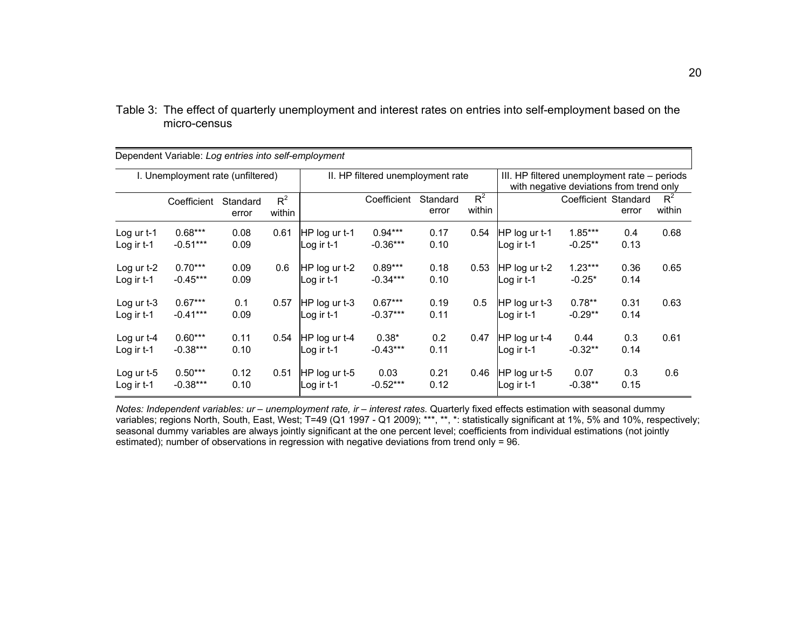|                                   | Dependent Variable: Log entries into self-employment |                   |                 |                               |                                   |                   |                 |                                                                                          |                       |              |                 |
|-----------------------------------|------------------------------------------------------|-------------------|-----------------|-------------------------------|-----------------------------------|-------------------|-----------------|------------------------------------------------------------------------------------------|-----------------------|--------------|-----------------|
| I. Unemployment rate (unfiltered) |                                                      |                   |                 |                               | II. HP filtered unemployment rate |                   |                 | III. HP filtered unemployment rate – periods<br>with negative deviations from trend only |                       |              |                 |
|                                   | Coefficient                                          | Standard<br>error | $R^2$<br>within |                               | Coefficient                       | Standard<br>error | $R^2$<br>within |                                                                                          | Coefficient Standard  | error        | $R^2$<br>within |
| Log ur t-1<br>Log ir t-1          | $0.68***$<br>$-0.51***$                              | 0.08<br>0.09      | 0.61            | HP log ur t-1<br>Log ir t-1   | $0.94***$<br>$-0.36***$           | 0.17<br>0.10      | 0.54            | HP log ur t-1<br>Log ir t-1                                                              | $1.85***$<br>-0.25**  | 0.4<br>0.13  | 0.68            |
| Log ur $t-2$<br>Log ir t-1        | $0.70***$<br>$-0.45***$                              | 0.09<br>0.09      | 0.6             | $HP$ log ur t-2<br>∟og ir t-1 | $0.89***$<br>$-0.34***$           | 0.18<br>0.10      | 0.53            | HP log ur t-2<br>Log ir t-1                                                              | $1.23***$<br>$-0.25*$ | 0.36<br>0.14 | 0.65            |
| Log ur $t-3$<br>Log ir $t-1$      | $0.67***$<br>$-0.41***$                              | 0.1<br>0.09       | 0.57            | HP log ur t-3<br>Log ir t-1   | $0.67***$<br>$-0.37***$           | 0.19<br>0.11      | 0.5             | HP log ur t-3<br>Log ir t-1                                                              | $0.78**$<br>$-0.29**$ | 0.31<br>0.14 | 0.63            |
| Log ur $t-4$<br>Log ir t-1        | $0.60***$<br>$-0.38***$                              | 0.11<br>0.10      | 0.54            | HP log ur t-4<br>Log ir t-1   | $0.38*$<br>$-0.43***$             | 0.2<br>0.11       | 0.47            | HP log ur t-4<br>Log ir $t-1$                                                            | 0.44<br>$-0.32**$     | 0.3<br>0.14  | 0.61            |
| Log ur $t-5$<br>Log ir $t-1$      | $0.50***$<br>$-0.38***$                              | 0.12<br>0.10      | 0.51            | HP log ur t-5<br>Log ir $t-1$ | 0.03<br>$-0.52***$                | 0.21<br>0.12      | 0.46            | HP log ur t-5<br>Log ir $t-1$                                                            | 0.07<br>$-0.38**$     | 0.3<br>0.15  | 0.6             |

Table 3: The effect of quarterly unemployment and interest rates on entries into self-employment based on the micro-census

*Notes: Independent variables: ur – unemployment rate, ir – interest rates.* Quarterly fixed effects estimation with seasonal dummy variables; regions North, South, East, West; T=49 (Q1 1997 - Q1 2009); \*\*\*, \*\*, \*: statistically significant at 1%, 5% and 10%, respectively; seasonal dummy variables are always jointly significant at the one percent level; coefficients from individual estimations (not jointly estimated); number of observations in regression with negative deviations from trend only = 96.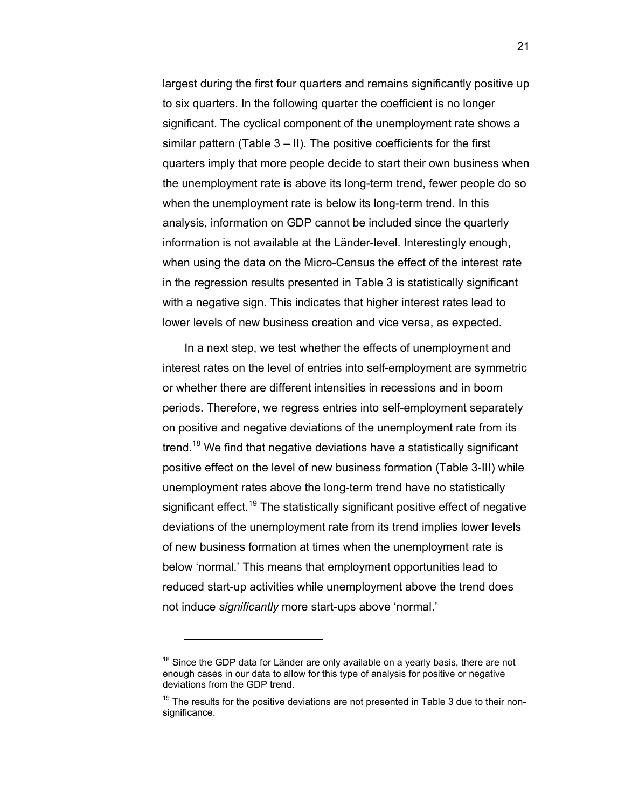largest during the first four quarters and remains significantly positive up to six quarters. In the following quarter the coefficient is no longer significant. The cyclical component of the unemployment rate shows a similar pattern (Table 3 – II). The positive coefficients for the first quarters imply that more people decide to start their own business when the unemployment rate is above its long-term trend, fewer people do so when the unemployment rate is below its long-term trend. In this analysis, information on GDP cannot be included since the quarterly information is not available at the Länder-level. Interestingly enough, when using the data on the Micro-Census the effect of the interest rate in the regression results presented in Table 3 is statistically significant with a negative sign. This indicates that higher interest rates lead to lower levels of new business creation and vice versa, as expected.

In a next step, we test whether the effects of unemployment and interest rates on the level of entries into self-employment are symmetric or whether there are different intensities in recessions and in boom periods. Therefore, we regress entries into self-employment separately on positive and negative deviations of the unemployment rate from its trend.<sup>18</sup> We find that negative deviations have a statistically significant positive effect on the level of new business formation (Table 3-III) while unemployment rates above the long-term trend have no statistically significant effect.<sup>19</sup> The statistically significant positive effect of negative deviations of the unemployment rate from its trend implies lower levels of new business formation at times when the unemployment rate is below 'normal.' This means that employment opportunities lead to reduced start-up activities while unemployment above the trend does not induce *significantly* more start-ups above 'normal.'

 $18$  Since the GDP data for Länder are only available on a yearly basis, there are not enough cases in our data to allow for this type of analysis for positive or negative deviations from the GDP trend.

 $19$  The results for the positive deviations are not presented in Table 3 due to their nonsignificance.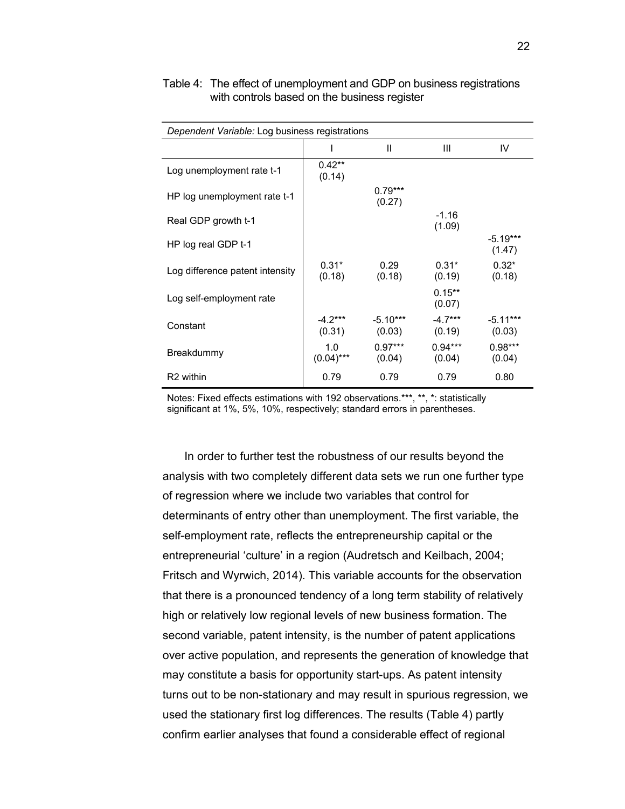| Dependent Variable: Log business registrations |                     |                      |                     |                      |
|------------------------------------------------|---------------------|----------------------|---------------------|----------------------|
|                                                |                     | Ш                    | Ш                   | IV                   |
| Log unemployment rate t-1                      | $0.42**$<br>(0.14)  |                      |                     |                      |
| HP log unemployment rate t-1                   |                     | $0.79***$<br>(0.27)  |                     |                      |
| Real GDP growth t-1                            |                     |                      | $-1.16$<br>(1.09)   |                      |
| HP log real GDP t-1                            |                     |                      |                     | $-5.19***$<br>(1.47) |
| Log difference patent intensity                | $0.31*$<br>(0.18)   | 0.29<br>(0.18)       | $0.31*$<br>(0.19)   | $0.32*$<br>(0.18)    |
| Log self-employment rate                       |                     |                      | $0.15***$<br>(0.07) |                      |
| Constant                                       | $-4.2***$<br>(0.31) | $-5.10***$<br>(0.03) | $-4.7***$<br>(0.19) | $-5.11***$<br>(0.03) |
| Breakdummy                                     | 1.0<br>$(0.04)$ *** | $0.97***$<br>(0.04)  | $0.94***$<br>(0.04) | $0.98***$<br>(0.04)  |
| R <sub>2</sub> within                          | 0.79                | 0.79                 | 0.79                | 0.80                 |

#### Table 4: The effect of unemployment and GDP on business registrations with controls based on the business register

Notes: Fixed effects estimations with 192 observations.\*\*\*, \*\*, \*: statistically significant at 1%, 5%, 10%, respectively; standard errors in parentheses.

In order to further test the robustness of our results beyond the analysis with two completely different data sets we run one further type of regression where we include two variables that control for determinants of entry other than unemployment. The first variable, the self-employment rate, reflects the entrepreneurship capital or the entrepreneurial 'culture' in a region (Audretsch and Keilbach, 2004; Fritsch and Wyrwich, 2014). This variable accounts for the observation that there is a pronounced tendency of a long term stability of relatively high or relatively low regional levels of new business formation. The second variable, patent intensity, is the number of patent applications over active population, and represents the generation of knowledge that may constitute a basis for opportunity start-ups. As patent intensity turns out to be non-stationary and may result in spurious regression, we used the stationary first log differences. The results (Table 4) partly confirm earlier analyses that found a considerable effect of regional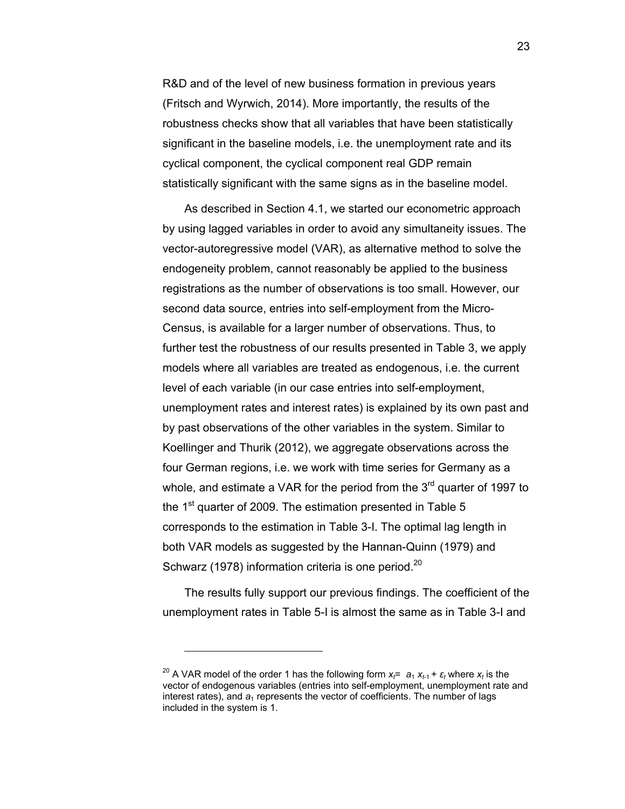R&D and of the level of new business formation in previous years (Fritsch and Wyrwich, 2014). More importantly, the results of the robustness checks show that all variables that have been statistically significant in the baseline models, i.e. the unemployment rate and its cyclical component, the cyclical component real GDP remain statistically significant with the same signs as in the baseline model.

As described in Section 4.1, we started our econometric approach by using lagged variables in order to avoid any simultaneity issues. The vector-autoregressive model (VAR), as alternative method to solve the endogeneity problem, cannot reasonably be applied to the business registrations as the number of observations is too small. However, our second data source, entries into self-employment from the Micro-Census, is available for a larger number of observations. Thus, to further test the robustness of our results presented in Table 3, we apply models where all variables are treated as endogenous, i.e. the current level of each variable (in our case entries into self-employment, unemployment rates and interest rates) is explained by its own past and by past observations of the other variables in the system. Similar to Koellinger and Thurik (2012), we aggregate observations across the four German regions, i.e. we work with time series for Germany as a whole, and estimate a VAR for the period from the  $3<sup>rd</sup>$  quarter of 1997 to the  $1<sup>st</sup>$  quarter of 2009. The estimation presented in Table 5 corresponds to the estimation in Table 3-I. The optimal lag length in both VAR models as suggested by the Hannan-Quinn (1979) and Schwarz (1978) information criteria is one period.<sup>20</sup>

The results fully support our previous findings. The coefficient of the unemployment rates in Table 5-I is almost the same as in Table 3-I and

<sup>&</sup>lt;sup>20</sup> A VAR model of the order 1 has the following form  $x_f = a_1 x_{f-1} + \varepsilon_f$  where  $x_f$  is the vector of endogenous variables (entries into self-employment, unemployment rate and interest rates), and  $a_1$  represents the vector of coefficients. The number of lags included in the system is 1.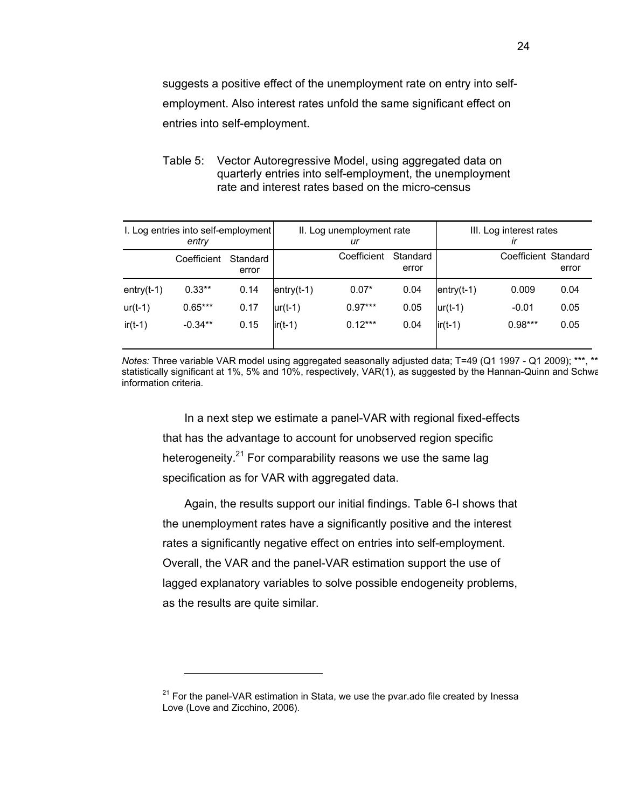suggests a positive effect of the unemployment rate on entry into selfemployment. Also interest rates unfold the same significant effect on entries into self-employment.

Table 5: Vector Autoregressive Model, using aggregated data on quarterly entries into self-employment, the unemployment rate and interest rates based on the micro-census

| I. Log entries into self-employment<br>entry |             |                   | II. Log unemployment rate<br>ur |             |                   | III. Log interest rates<br>ir |                      |       |
|----------------------------------------------|-------------|-------------------|---------------------------------|-------------|-------------------|-------------------------------|----------------------|-------|
|                                              | Coefficient | Standard<br>error |                                 | Coefficient | Standard<br>error |                               | Coefficient Standard | error |
| $entry(t-1)$                                 | $0.33**$    | 0.14              | $entry(t-1)$                    | $0.07*$     | 0.04              | $entry(t-1)$                  | 0.009                | 0.04  |
| $ur(t-1)$                                    | $0.65***$   | 0.17              | $ur(t-1)$                       | $0.97***$   | 0.05              | $ur(t-1)$                     | $-0.01$              | 0.05  |
| $ir(t-1)$                                    | $-0.34**$   | 0.15              | $ir(t-1)$                       | $0.12***$   | 0.04              | $ir(t-1)$                     | $0.98***$            | 0.05  |

*Notes:* Three variable VAR model using aggregated seasonally adjusted data; T=49 (Q1 1997 - Q1 2009); \*\*\*, \*\* statistically significant at 1%, 5% and 10%, respectively, VAR(1), as suggested by the Hannan-Quinn and Schwa information criteria.

In a next step we estimate a panel-VAR with regional fixed-effects that has the advantage to account for unobserved region specific heterogeneity.<sup>21</sup> For comparability reasons we use the same lag specification as for VAR with aggregated data.

Again, the results support our initial findings. Table 6-I shows that the unemployment rates have a significantly positive and the interest rates a significantly negative effect on entries into self-employment. Overall, the VAR and the panel-VAR estimation support the use of lagged explanatory variables to solve possible endogeneity problems, as the results are quite similar.

 $21$  For the panel-VAR estimation in Stata, we use the pvar.ado file created by Inessa Love (Love and Zicchino, 2006).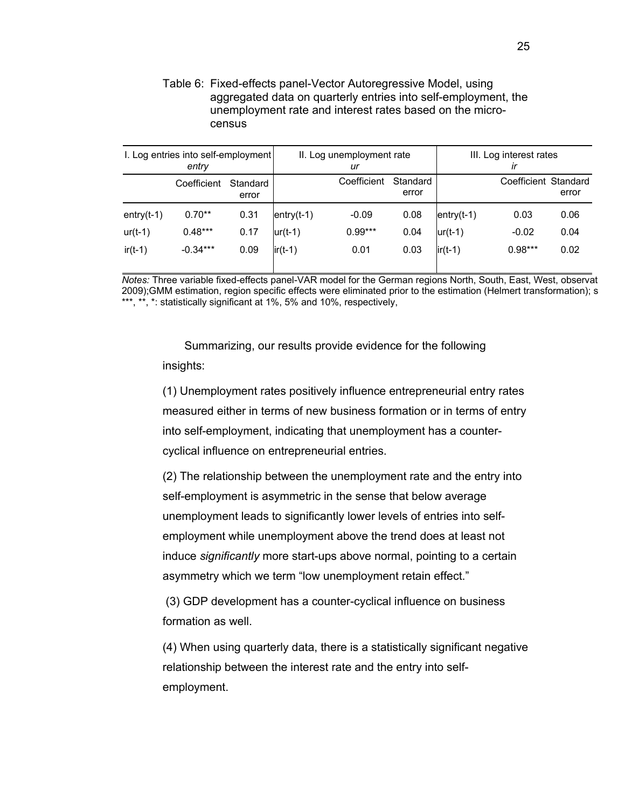Table 6: Fixed-effects panel-Vector Autoregressive Model, using aggregated data on quarterly entries into self-employment, the unemployment rate and interest rates based on the microcensus

| I. Log entries into self-employment<br>entry |             |                   | II. Log unemployment rate<br>ur |             |                   | III. Log interest rates<br>ir |                      |       |
|----------------------------------------------|-------------|-------------------|---------------------------------|-------------|-------------------|-------------------------------|----------------------|-------|
|                                              | Coefficient | Standard<br>error |                                 | Coefficient | Standard<br>error |                               | Coefficient Standard | error |
| $entry(t-1)$                                 | $0.70**$    | 0.31              | $entry(t-1)$                    | $-0.09$     | 0.08              | $entry(t-1)$                  | 0.03                 | 0.06  |
| $ur(t-1)$                                    | $0.48***$   | 0.17              | $ur(t-1)$                       | $0.99***$   | 0.04              | $ur(t-1)$                     | $-0.02$              | 0.04  |
| $ir(t-1)$                                    | $-0.34***$  | 0.09              | $ir(t-1)$                       | 0.01        | 0.03              | $ir(t-1)$                     | $0.98***$            | 0.02  |

*Notes:* Three variable fixed-effects panel-VAR model for the German regions North, South, East, West, observat 2009);GMM estimation, region specific effects were eliminated prior to the estimation (Helmert transformation); s \*\*\*, \*\*, \*: statistically significant at 1%, 5% and 10%, respectively,

Summarizing, our results provide evidence for the following insights:

(1) Unemployment rates positively influence entrepreneurial entry rates measured either in terms of new business formation or in terms of entry into self-employment, indicating that unemployment has a countercyclical influence on entrepreneurial entries.

(2) The relationship between the unemployment rate and the entry into self-employment is asymmetric in the sense that below average unemployment leads to significantly lower levels of entries into selfemployment while unemployment above the trend does at least not induce *significantly* more start-ups above normal, pointing to a certain asymmetry which we term "low unemployment retain effect."

 (3) GDP development has a counter-cyclical influence on business formation as well.

(4) When using quarterly data, there is a statistically significant negative relationship between the interest rate and the entry into selfemployment.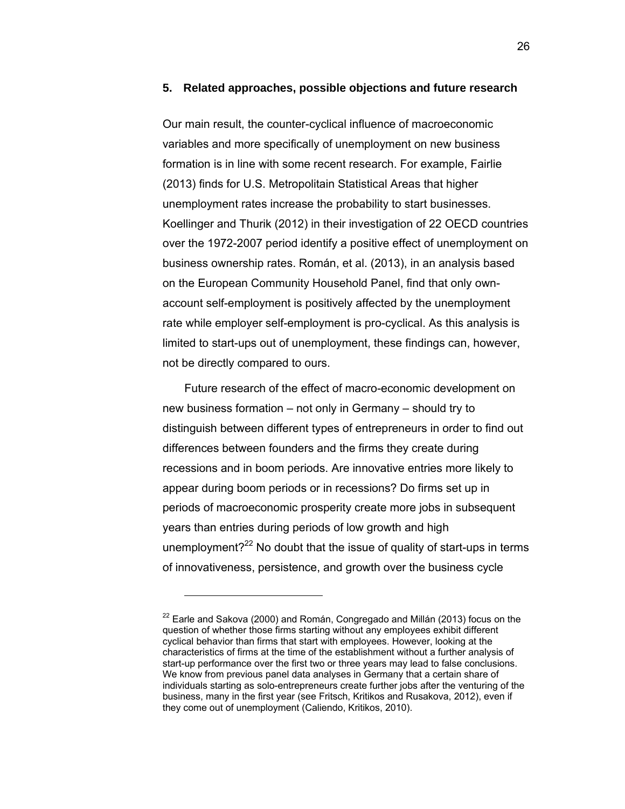#### **5. Related approaches, possible objections and future research**

Our main result, the counter-cyclical influence of macroeconomic variables and more specifically of unemployment on new business formation is in line with some recent research. For example, Fairlie (2013) finds for U.S. Metropolitain Statistical Areas that higher unemployment rates increase the probability to start businesses. Koellinger and Thurik (2012) in their investigation of 22 OECD countries over the 1972-2007 period identify a positive effect of unemployment on business ownership rates. Román, et al. (2013), in an analysis based on the European Community Household Panel, find that only ownaccount self-employment is positively affected by the unemployment rate while employer self-employment is pro-cyclical. As this analysis is limited to start-ups out of unemployment, these findings can, however, not be directly compared to ours.

Future research of the effect of macro-economic development on new business formation – not only in Germany – should try to distinguish between different types of entrepreneurs in order to find out differences between founders and the firms they create during recessions and in boom periods. Are innovative entries more likely to appear during boom periods or in recessions? Do firms set up in periods of macroeconomic prosperity create more jobs in subsequent years than entries during periods of low growth and high unemployment? $22$  No doubt that the issue of quality of start-ups in terms of innovativeness, persistence, and growth over the business cycle

 $22$  Earle and Sakova (2000) and Román, Congregado and Millán (2013) focus on the question of whether those firms starting without any employees exhibit different cyclical behavior than firms that start with employees. However, looking at the characteristics of firms at the time of the establishment without a further analysis of start-up performance over the first two or three years may lead to false conclusions. We know from previous panel data analyses in Germany that a certain share of individuals starting as solo-entrepreneurs create further jobs after the venturing of the business, many in the first year (see Fritsch, Kritikos and Rusakova, 2012), even if they come out of unemployment (Caliendo, Kritikos, 2010).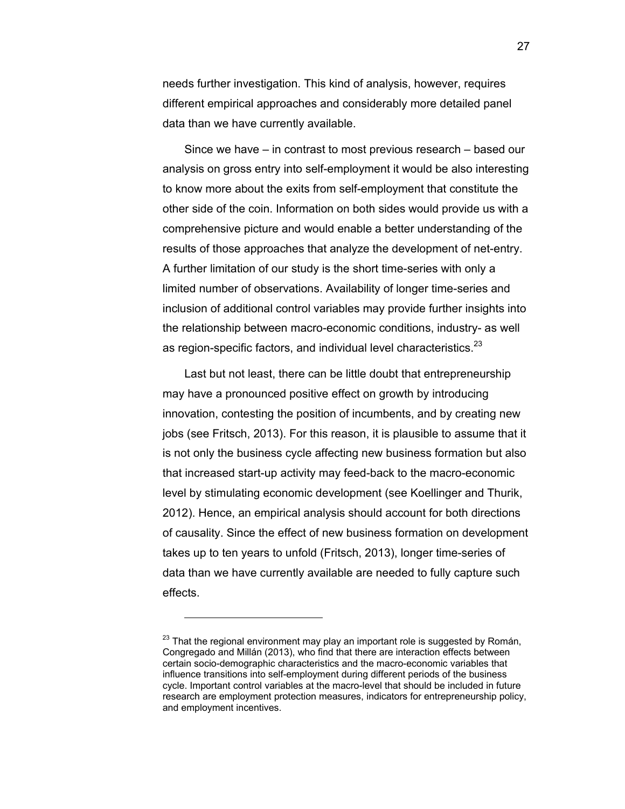needs further investigation. This kind of analysis, however, requires different empirical approaches and considerably more detailed panel data than we have currently available.

Since we have – in contrast to most previous research – based our analysis on gross entry into self-employment it would be also interesting to know more about the exits from self-employment that constitute the other side of the coin. Information on both sides would provide us with a comprehensive picture and would enable a better understanding of the results of those approaches that analyze the development of net-entry. A further limitation of our study is the short time-series with only a limited number of observations. Availability of longer time-series and inclusion of additional control variables may provide further insights into the relationship between macro-economic conditions, industry- as well as region-specific factors, and individual level characteristics.<sup>23</sup>

Last but not least, there can be little doubt that entrepreneurship may have a pronounced positive effect on growth by introducing innovation, contesting the position of incumbents, and by creating new jobs (see Fritsch, 2013). For this reason, it is plausible to assume that it is not only the business cycle affecting new business formation but also that increased start-up activity may feed-back to the macro-economic level by stimulating economic development (see Koellinger and Thurik, 2012). Hence, an empirical analysis should account for both directions of causality. Since the effect of new business formation on development takes up to ten years to unfold (Fritsch, 2013), longer time-series of data than we have currently available are needed to fully capture such effects.

-

27

 $23$  That the regional environment may play an important role is suggested by Román, Congregado and Millán (2013), who find that there are interaction effects between certain socio-demographic characteristics and the macro-economic variables that influence transitions into self-employment during different periods of the business cycle. Important control variables at the macro-level that should be included in future research are employment protection measures, indicators for entrepreneurship policy, and employment incentives.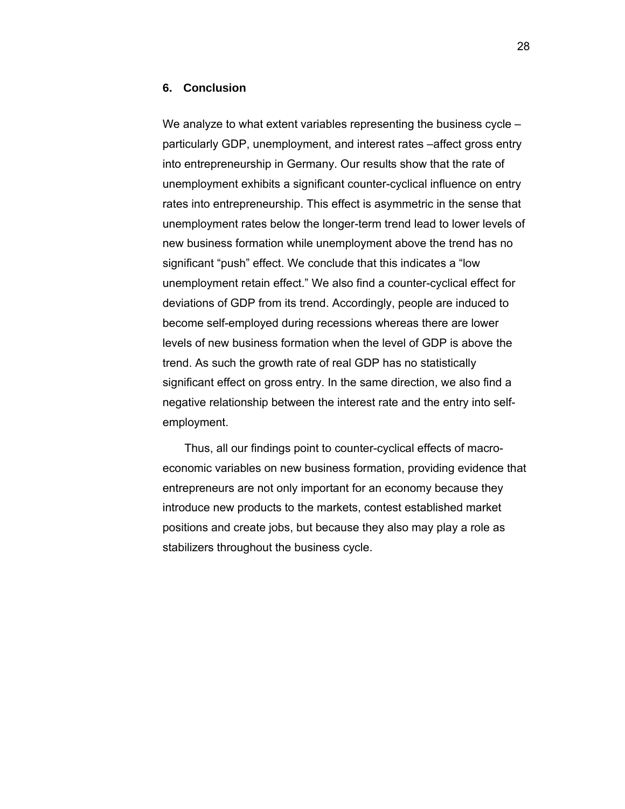#### **6. Conclusion**

We analyze to what extent variables representing the business cycle – particularly GDP, unemployment, and interest rates –affect gross entry into entrepreneurship in Germany. Our results show that the rate of unemployment exhibits a significant counter-cyclical influence on entry rates into entrepreneurship. This effect is asymmetric in the sense that unemployment rates below the longer-term trend lead to lower levels of new business formation while unemployment above the trend has no significant "push" effect. We conclude that this indicates a "low unemployment retain effect." We also find a counter-cyclical effect for deviations of GDP from its trend. Accordingly, people are induced to become self-employed during recessions whereas there are lower levels of new business formation when the level of GDP is above the trend. As such the growth rate of real GDP has no statistically significant effect on gross entry. In the same direction, we also find a negative relationship between the interest rate and the entry into selfemployment.

Thus, all our findings point to counter-cyclical effects of macroeconomic variables on new business formation, providing evidence that entrepreneurs are not only important for an economy because they introduce new products to the markets, contest established market positions and create jobs, but because they also may play a role as stabilizers throughout the business cycle.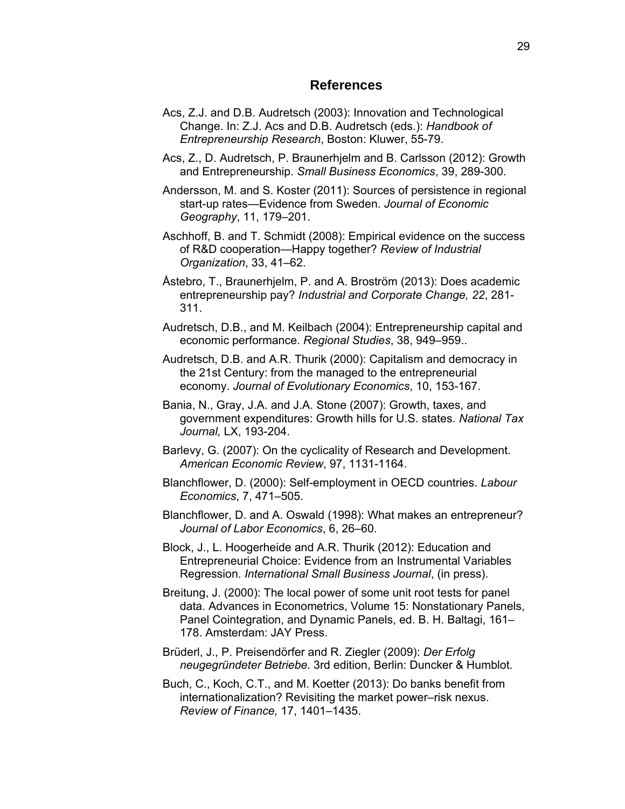#### **References**

- Acs, Z.J. and D.B. Audretsch (2003): Innovation and Technological Change. In: Z.J. Acs and D.B. Audretsch (eds.): *Handbook of Entrepreneurship Research*, Boston: Kluwer, 55-79.
- Acs, Z., D. Audretsch, P. Braunerhjelm and B. Carlsson (2012): Growth and Entrepreneurship. *Small Business Economics*, 39, 289-300.
- Andersson, M. and S. Koster (2011): Sources of persistence in regional start-up rates—Evidence from Sweden. *Journal of Economic Geography*, 11, 179–201.
- Aschhoff, B. and T. Schmidt (2008): Empirical evidence on the success of R&D cooperation—Happy together? *Review of Industrial Organization*, 33, 41–62.
- Åstebro, T., Braunerhjelm, P. and A. Broström (2013): Does academic entrepreneurship pay? *Industrial and Corporate Change, 22*, 281- 311.
- Audretsch, D.B., and M. Keilbach (2004): Entrepreneurship capital and economic performance. *Regional Studies*, 38, 949–959..
- Audretsch, D.B. and A.R. Thurik (2000): Capitalism and democracy in the 21st Century: from the managed to the entrepreneurial economy. *Journal of Evolutionary Economics*, 10, 153-167.
- Bania, N., Gray, J.A. and J.A. Stone (2007): Growth, taxes, and government expenditures: Growth hills for U.S. states. *National Tax Journal,* LX, 193-204.
- Barlevy, G. (2007): On the cyclicality of Research and Development. *American Economic Review*, 97, 1131-1164.
- Blanchflower, D. (2000): Self-employment in OECD countries. *Labour Economics*, 7, 471–505.
- Blanchflower, D. and A. Oswald (1998): What makes an entrepreneur? *Journal of Labor Economics*, 6, 26–60.
- Block, J., L. Hoogerheide and A.R. Thurik (2012): Education and Entrepreneurial Choice: Evidence from an Instrumental Variables Regression. *International Small Business Journal*, (in press).
- Breitung, J. (2000): The local power of some unit root tests for panel data. Advances in Econometrics, Volume 15: Nonstationary Panels, Panel Cointegration, and Dynamic Panels, ed. B. H. Baltagi, 161– 178. Amsterdam: JAY Press.
- Brüderl, J., P. Preisendörfer and R. Ziegler (2009): *Der Erfolg neugegründeter Betriebe.* 3rd edition, Berlin: Duncker & Humblot.
- Buch, C., Koch, C.T., and M. Koetter (2013): Do banks benefit from internationalization? Revisiting the market power–risk nexus. *Review of Finance,* 17, 1401–1435.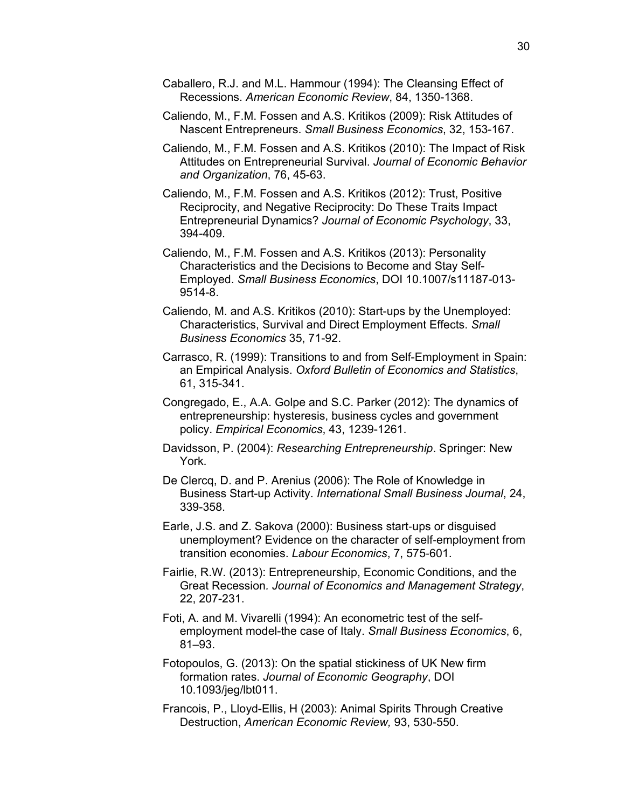- Caballero, R.J. and M.L. Hammour (1994): The Cleansing Effect of Recessions. *American Economic Review*, 84, 1350-1368.
- Caliendo, M., F.M. Fossen and A.S. Kritikos (2009): Risk Attitudes of Nascent Entrepreneurs. *Small Business Economics*, 32, 153-167.
- Caliendo, M., F.M. Fossen and A.S. Kritikos (2010): The Impact of Risk Attitudes on Entrepreneurial Survival. *Journal of Economic Behavior and Organization*, 76, 45-63.
- Caliendo, M., F.M. Fossen and A.S. Kritikos (2012): Trust, Positive Reciprocity, and Negative Reciprocity: Do These Traits Impact Entrepreneurial Dynamics? *Journal of Economic Psychology*, 33, 394-409.
- Caliendo, M., F.M. Fossen and A.S. Kritikos (2013): Personality Characteristics and the Decisions to Become and Stay Self-Employed. *Small Business Economics*, DOI 10.1007/s11187-013- 9514-8.
- Caliendo, M. and A.S. Kritikos (2010): Start-ups by the Unemployed: Characteristics, Survival and Direct Employment Effects. *Small Business Economics* 35, 71-92.
- Carrasco, R. (1999): Transitions to and from Self-Employment in Spain: an Empirical Analysis. *Oxford Bulletin of Economics and Statistics*, 61, 315-341.
- Congregado, E., A.A. Golpe and S.C. Parker (2012): The dynamics of entrepreneurship: hysteresis, business cycles and government policy. *Empirical Economics*, 43, 1239-1261.
- Davidsson, P. (2004): *Researching Entrepreneurship*. Springer: New York.
- De Clercq, D. and P. Arenius (2006): The Role of Knowledge in Business Start-up Activity. *International Small Business Journal*, 24, 339-358.
- Earle, J.S. and Z. Sakova (2000): Business start‐ups or disguised unemployment? Evidence on the character of self‐employment from transition economies. *Labour Economics*, 7, 575‐601.
- Fairlie, R.W. (2013): Entrepreneurship, Economic Conditions, and the Great Recession*. Journal of Economics and Management Strategy*, 22, 207-231.
- Foti, A. and M. Vivarelli (1994): An econometric test of the selfemployment model-the case of Italy. *Small Business Economics*, 6, 81–93.
- Fotopoulos, G. (2013): On the spatial stickiness of UK New firm formation rates. *Journal of Economic Geography*, DOI 10.1093/jeg/lbt011.
- Francois, P., Lloyd-Ellis, H (2003): Animal Spirits Through Creative Destruction, *American Economic Review,* 93, 530-550.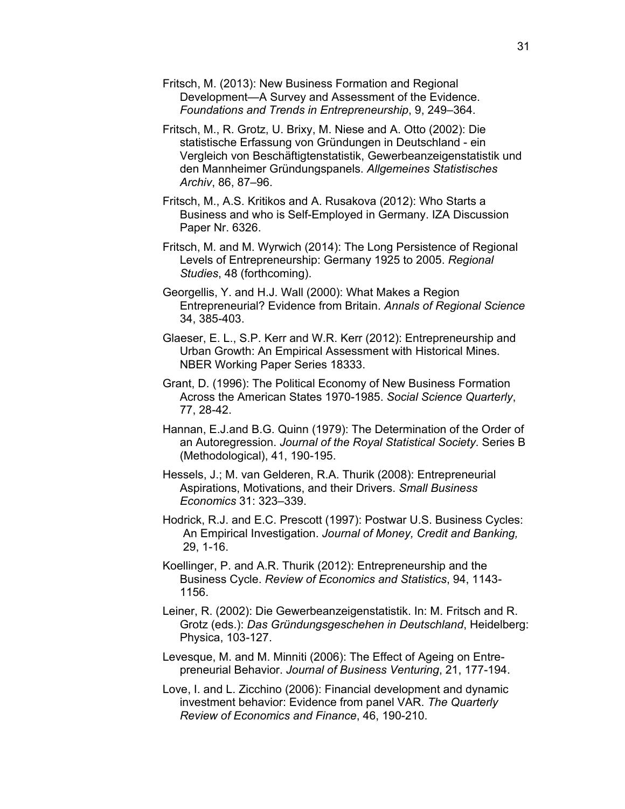- Fritsch, M. (2013): New Business Formation and Regional Development—A Survey and Assessment of the Evidence. *Foundations and Trends in Entrepreneurship*, 9, 249–364.
- Fritsch, M., R. Grotz, U. Brixy, M. Niese and A. Otto (2002): Die statistische Erfassung von Gründungen in Deutschland - ein Vergleich von Beschäftigtenstatistik, Gewerbeanzeigenstatistik und den Mannheimer Gründungspanels. *Allgemeines Statistisches Archiv*, 86, 87–96.
- Fritsch, M., A.S. Kritikos and A. Rusakova (2012): Who Starts a Business and who is Self-Employed in Germany. IZA Discussion Paper Nr. 6326.
- Fritsch, M. and M. Wyrwich (2014): The Long Persistence of Regional Levels of Entrepreneurship: Germany 1925 to 2005. *Regional Studies*, 48 (forthcoming).
- Georgellis, Y. and H.J. Wall (2000): What Makes a Region Entrepreneurial? Evidence from Britain. *Annals of Regional Science* 34, 385-403.
- Glaeser, E. L., S.P. Kerr and W.R. Kerr (2012): Entrepreneurship and Urban Growth: An Empirical Assessment with Historical Mines. NBER Working Paper Series 18333.
- Grant, D. (1996): The Political Economy of New Business Formation Across the American States 1970-1985. *Social Science Quarterly*, 77, 28-42.
- Hannan, E.J.and B.G. Quinn (1979): The Determination of the Order of an Autoregression. *Journal of the Royal Statistical Society*. Series B (Methodological), 41, 190-195.
- Hessels, J.; M. van Gelderen, R.A. Thurik (2008): Entrepreneurial Aspirations, Motivations, and their Drivers. *Small Business Economics* 31: 323–339.
- Hodrick, R.J. and E.C. Prescott (1997): Postwar U.S. Business Cycles: An Empirical Investigation. *Journal of Money, Credit and Banking,* 29, 1-16.
- Koellinger, P. and A.R. Thurik (2012): Entrepreneurship and the Business Cycle. *Review of Economics and Statistics*, 94, 1143- 1156.
- Leiner, R. (2002): Die Gewerbeanzeigenstatistik. In: M. Fritsch and R. Grotz (eds.): *Das Gründungsgeschehen in Deutschland*, Heidelberg: Physica, 103-127.
- Levesque, M. and M. Minniti (2006): The Effect of Ageing on Entrepreneurial Behavior. *Journal of Business Venturing*, 21, 177-194.
- Love, I. and L. Zicchino (2006): Financial development and dynamic investment behavior: Evidence from panel VAR. *The Quarterly Review of Economics and Finance*, 46, 190-210.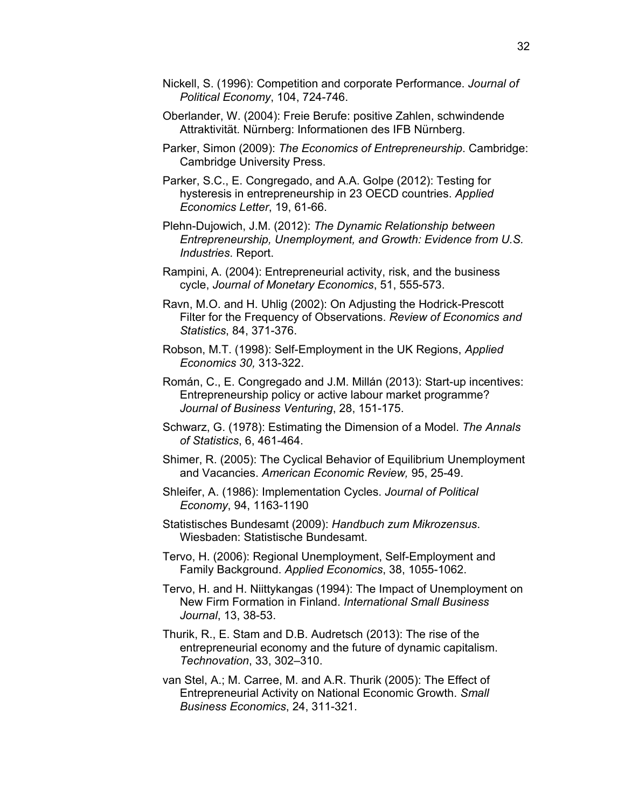- Nickell, S. (1996): Competition and corporate Performance. *Journal of Political Economy*, 104, 724-746.
- Oberlander, W. (2004): Freie Berufe: positive Zahlen, schwindende Attraktivität. Nürnberg: Informationen des IFB Nürnberg.
- Parker, Simon (2009): *The Economics of Entrepreneurship*. Cambridge: Cambridge University Press.
- Parker, S.C., E. Congregado, and A.A. Golpe (2012): Testing for hysteresis in entrepreneurship in 23 OECD countries. *Applied Economics Letter*, 19, 61-66.
- Plehn-Dujowich, J.M. (2012): *The Dynamic Relationship between Entrepreneurship, Unemployment, and Growth: Evidence from U.S. Industries*. Report.
- Rampini, A. (2004): Entrepreneurial activity, risk, and the business cycle, *Journal of Monetary Economics*, 51, 555-573.
- Ravn, M.O. and H. Uhlig (2002): On Adjusting the Hodrick-Prescott Filter for the Frequency of Observations. *Review of Economics and Statistics*, 84, 371-376.
- Robson, M.T. (1998): Self-Employment in the UK Regions, *Applied Economics 30,* 313-322.
- Román, C., E. Congregado and J.M. Millán (2013): Start-up incentives: Entrepreneurship policy or active labour market programme? *Journal of Business Venturing*, 28, 151-175.
- Schwarz, G. (1978): Estimating the Dimension of a Model. *The Annals of Statistics*, 6, 461-464.
- Shimer, R. (2005): The Cyclical Behavior of Equilibrium Unemployment and Vacancies. *American Economic Review,* 95, 25-49.
- Shleifer, A. (1986): Implementation Cycles. *Journal of Political Economy*, 94, 1163-1190
- Statistisches Bundesamt (2009): *Handbuch zum Mikrozensus*. Wiesbaden: Statistische Bundesamt.
- Tervo, H. (2006): Regional Unemployment, Self-Employment and Family Background. *Applied Economics*, 38, 1055-1062.
- Tervo, H. and H. Niittykangas (1994): The Impact of Unemployment on New Firm Formation in Finland. *International Small Business Journal*, 13, 38-53.
- Thurik, R., E. Stam and D.B. Audretsch (2013): The rise of the entrepreneurial economy and the future of dynamic capitalism. *Technovation*, 33, 302–310.
- van Stel, A.; M. Carree, M. and A.R. Thurik (2005): The Effect of Entrepreneurial Activity on National Economic Growth. *Small Business Economics*, 24, 311-321.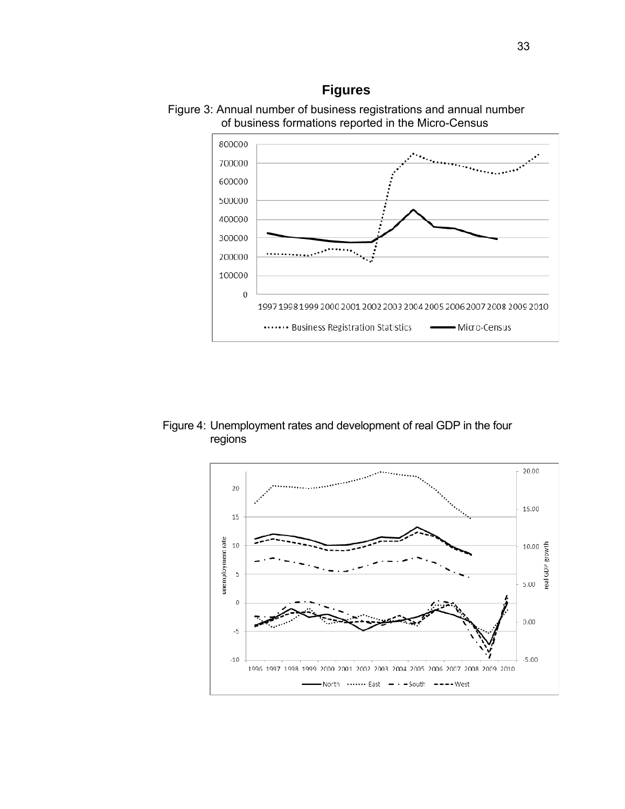### **Figures**





Figure 4: Unemployment rates and development of real GDP in the four regions

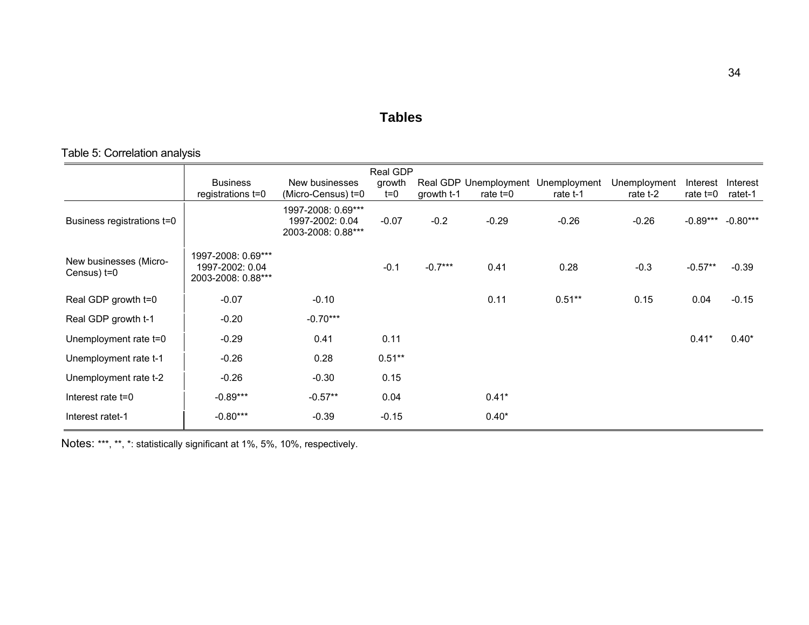#### **Tables**

### Table 5: Correlation analysis

|                                       |                                                             |                                                             | Real GDP        |            |            |                                                |                          |                        |                     |
|---------------------------------------|-------------------------------------------------------------|-------------------------------------------------------------|-----------------|------------|------------|------------------------------------------------|--------------------------|------------------------|---------------------|
|                                       | <b>Business</b><br>registrations t=0                        | New businesses<br>(Micro-Census) t=0                        | growth<br>$t=0$ | growth t-1 | rate $t=0$ | Real GDP Unemployment Unemployment<br>rate t-1 | Unemployment<br>rate t-2 | Interest<br>rate $t=0$ | Interest<br>ratet-1 |
| Business registrations t=0            |                                                             | 1997-2008: 0.69***<br>1997-2002: 0.04<br>2003-2008: 0.88*** | $-0.07$         | $-0.2$     | $-0.29$    | $-0.26$                                        | $-0.26$                  | $-0.89***$             | $-0.80***$          |
| New businesses (Micro-<br>Census) t=0 | 1997-2008: 0.69***<br>1997-2002: 0.04<br>2003-2008: 0.88*** |                                                             | $-0.1$          | $-0.7***$  | 0.41       | 0.28                                           | $-0.3$                   | $-0.57**$              | $-0.39$             |
| Real GDP growth t=0                   | $-0.07$                                                     | $-0.10$                                                     |                 |            | 0.11       | $0.51**$                                       | 0.15                     | 0.04                   | $-0.15$             |
| Real GDP growth t-1                   | $-0.20$                                                     | $-0.70***$                                                  |                 |            |            |                                                |                          |                        |                     |
| Unemployment rate t=0                 | $-0.29$                                                     | 0.41                                                        | 0.11            |            |            |                                                |                          | $0.41*$                | $0.40*$             |
| Unemployment rate t-1                 | $-0.26$                                                     | 0.28                                                        | $0.51**$        |            |            |                                                |                          |                        |                     |
| Unemployment rate t-2                 | $-0.26$                                                     | $-0.30$                                                     | 0.15            |            |            |                                                |                          |                        |                     |
| Interest rate t=0                     | $-0.89***$                                                  | $-0.57**$                                                   | 0.04            |            | $0.41*$    |                                                |                          |                        |                     |
| Interest ratet-1                      | $-0.80***$                                                  | $-0.39$                                                     | $-0.15$         |            | $0.40*$    |                                                |                          |                        |                     |

Notes: \*\*\*, \*\*, \*: statistically significant at 1%, 5%, 10%, respectively.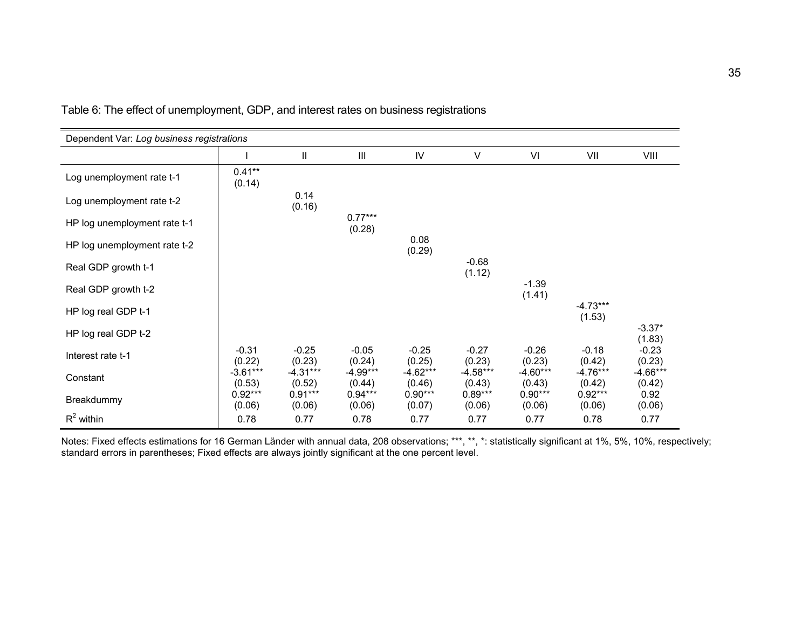| Dependent Var: Log business registrations |                      |                      |                     |                      |                      |                      |                      |                      |
|-------------------------------------------|----------------------|----------------------|---------------------|----------------------|----------------------|----------------------|----------------------|----------------------|
|                                           |                      | $\mathbf{I}$         | Ш                   | IV                   | V                    | VI                   | VII                  | VIII                 |
| Log unemployment rate t-1                 | $0.41**$<br>(0.14)   |                      |                     |                      |                      |                      |                      |                      |
| Log unemployment rate t-2                 |                      | 0.14<br>(0.16)       |                     |                      |                      |                      |                      |                      |
| HP log unemployment rate t-1              |                      |                      | $0.77***$<br>(0.28) |                      |                      |                      |                      |                      |
| HP log unemployment rate t-2              |                      |                      |                     | 0.08<br>(0.29)       |                      |                      |                      |                      |
| Real GDP growth t-1                       |                      |                      |                     |                      | $-0.68$<br>(1.12)    |                      |                      |                      |
| Real GDP growth t-2                       |                      |                      |                     |                      |                      | $-1.39$<br>(1.41)    |                      |                      |
| HP log real GDP t-1                       |                      |                      |                     |                      |                      |                      | $-4.73***$<br>(1.53) |                      |
| HP log real GDP t-2                       |                      |                      |                     |                      |                      |                      |                      | $-3.37*$<br>(1.83)   |
| Interest rate t-1                         | $-0.31$<br>(0.22)    | $-0.25$<br>(0.23)    | $-0.05$<br>(0.24)   | $-0.25$<br>(0.25)    | $-0.27$<br>(0.23)    | $-0.26$<br>(0.23)    | $-0.18$<br>(0.42)    | $-0.23$<br>(0.23)    |
| Constant                                  | $-3.61***$<br>(0.53) | $-4.31***$<br>(0.52) | -4.99***<br>(0.44)  | $-4.62***$<br>(0.46) | $-4.58***$<br>(0.43) | $-4.60***$<br>(0.43) | $-4.76***$<br>(0.42) | $-4.66***$<br>(0.42) |
| Breakdummy                                | $0.92***$<br>(0.06)  | $0.91***$<br>(0.06)  | $0.94***$<br>(0.06) | $0.90***$<br>(0.07)  | $0.89***$<br>(0.06)  | $0.90***$<br>(0.06)  | $0.92***$<br>(0.06)  | 0.92<br>(0.06)       |
| $R^2$ within                              | 0.78                 | 0.77                 | 0.78                | 0.77                 | 0.77                 | 0.77                 | 0.78                 | 0.77                 |

Table 6: The effect of unemployment, GDP, and interest rates on business registrations

Notes: Fixed effects estimations for 16 German Länder with annual data, 208 observations; \*\*\*, \*\*, \*: statistically significant at 1%, 5%, 10%, respectively; standard errors in parentheses; Fixed effects are always jointly significant at the one percent level.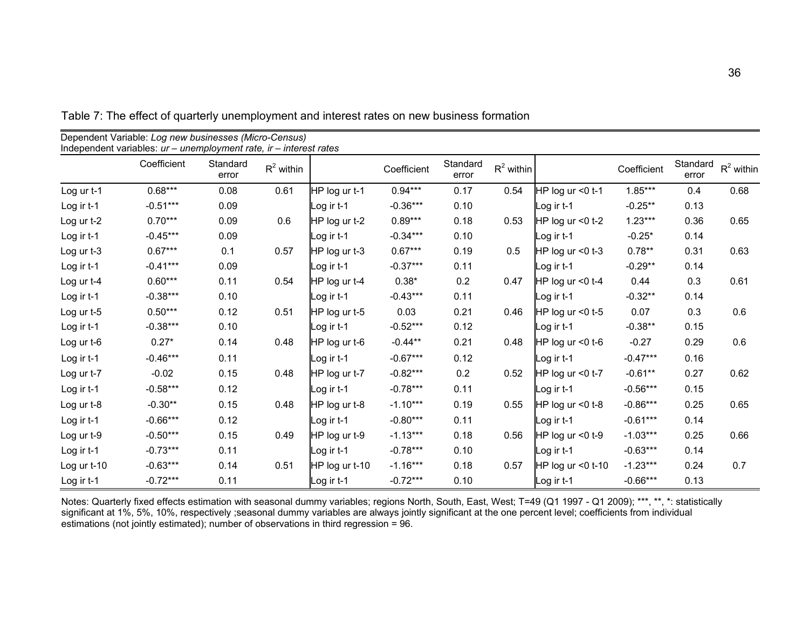|             | Coefficient | Standard<br>error | $R^2$ within |                | Coefficient | Standard<br>error | $R^2$ within |                    | Coefficient | Standard<br>error | $R^2$ within |
|-------------|-------------|-------------------|--------------|----------------|-------------|-------------------|--------------|--------------------|-------------|-------------------|--------------|
| Log ur t-1  | $0.68***$   | 0.08              | 0.61         | HP log ur t-1  | $0.94***$   | 0.17              | 0.54         | HP log ur <0 t-1   | $1.85***$   | 0.4               | 0.68         |
| Log ir t-1  | $-0.51***$  | 0.09              |              | Log ir t-1     | $-0.36***$  | 0.10              |              | Log ir t-1         | $-0.25**$   | 0.13              |              |
| Log ur t-2  | $0.70***$   | 0.09              | 0.6          | HP log ur t-2  | $0.89***$   | 0.18              | 0.53         | HP log ur <0 t-2   | $1.23***$   | 0.36              | 0.65         |
| Log ir t-1  | $-0.45***$  | 0.09              |              | Log ir t-1     | $-0.34***$  | 0.10              |              | og ir t-1_         | $-0.25*$    | 0.14              |              |
| Log ur t-3  | $0.67***$   | 0.1               | 0.57         | HP log ur t-3  | $0.67***$   | 0.19              | 0.5          | HP log ur <0 t-3   | $0.78**$    | 0.31              | 0.63         |
| Log ir t-1  | $-0.41***$  | 0.09              |              | Log ir t-1     | $-0.37***$  | 0.11              |              | Log ir t-1         | $-0.29**$   | 0.14              |              |
| Log ur t-4  | $0.60***$   | 0.11              | 0.54         | HP log ur t-4  | $0.38*$     | 0.2               | 0.47         | HP log ur < 0 t-4  | 0.44        | 0.3               | 0.61         |
| Log ir t-1  | $-0.38***$  | 0.10              |              | Log ir t-1     | $-0.43***$  | 0.11              |              | _og ir t-1         | $-0.32**$   | 0.14              |              |
| Log ur t-5  | $0.50***$   | 0.12              | 0.51         | HP log ur t-5  | 0.03        | 0.21              | 0.46         | HP log ur < 0 t-5  | 0.07        | 0.3               | 0.6          |
| Log ir t-1  | $-0.38***$  | 0.10              |              | Log ir t-1     | $-0.52***$  | 0.12              |              | Log ir t-1         | $-0.38**$   | 0.15              |              |
| Log ur t-6  | $0.27*$     | 0.14              | 0.48         | HP log ur t-6  | $-0.44**$   | 0.21              | 0.48         | HP log ur < 0 t-6  | $-0.27$     | 0.29              | 0.6          |
| Log ir t-1  | $-0.46***$  | 0.11              |              | Log ir t-1     | $-0.67***$  | 0.12              |              | _og ir t-1         | $-0.47***$  | 0.16              |              |
| Log ur t-7  | $-0.02$     | 0.15              | 0.48         | HP log ur t-7  | $-0.82***$  | 0.2               | 0.52         | HP log ur <0 t-7   | $-0.61**$   | 0.27              | 0.62         |
| Log ir t-1  | $-0.58***$  | 0.12              |              | Log ir t-1     | $-0.78***$  | 0.11              |              | _og ir t-1         | $-0.56***$  | 0.15              |              |
| Log ur t-8  | $-0.30**$   | 0.15              | 0.48         | HP log ur t-8  | $-1.10***$  | 0.19              | 0.55         | HP log ur <0 t-8   | $-0.86***$  | 0.25              | 0.65         |
| Log ir t-1  | $-0.66***$  | 0.12              |              | Log ir t-1     | $-0.80***$  | 0.11              |              | Log ir t-1         | $-0.61***$  | 0.14              |              |
| Log ur t-9  | $-0.50***$  | 0.15              | 0.49         | HP log ur t-9  | $-1.13***$  | 0.18              | 0.56         | HP log ur < 0 t-9  | $-1.03***$  | 0.25              | 0.66         |
| Log ir t-1  | $-0.73***$  | 0.11              |              | Log ir t-1     | $-0.78***$  | 0.10              |              | Log ir t-1         | $-0.63***$  | 0.14              |              |
| Log ur t-10 | $-0.63***$  | 0.14              | 0.51         | HP log ur t-10 | $-1.16***$  | 0.18              | 0.57         | HP log ur < 0 t-10 | $-1.23***$  | 0.24              | 0.7          |
| Log ir t-1  | $-0.72***$  | 0.11              |              | Log ir t-1     | $-0.72***$  | 0.10              |              | Log ir t-1         | $-0.66***$  | 0.13              |              |

Table 7: The effect of quarterly unemployment and interest rates on new business formation

Dependent Variable: *Log new businesses (Micro-Census)* 

Notes: Quarterly fixed effects estimation with seasonal dummy variables; regions North, South, East, West; T=49 (Q1 1997 - Q1 2009); \*\*\*, \*\*, \*: statistically significant at 1%, 5%, 10%, respectively ;seasonal dummy variables are always jointly significant at the one percent level; coefficients from individual estimations (not jointly estimated); number of observations in third regression = 96.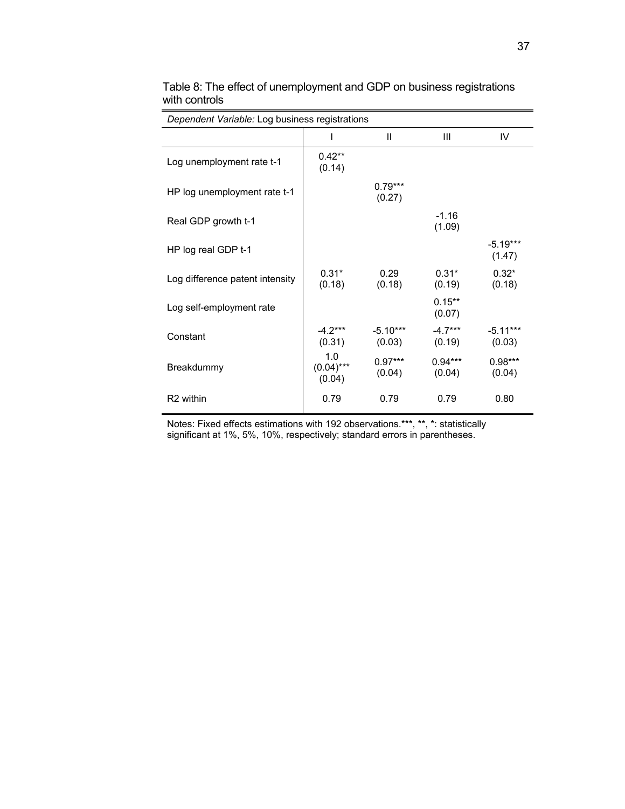|                                 | Dependent Variable: Log business registrations |                      |                     |                      |  |  |  |  |
|---------------------------------|------------------------------------------------|----------------------|---------------------|----------------------|--|--|--|--|
|                                 |                                                | $\mathbf{H}$         | Ш                   | IV                   |  |  |  |  |
| Log unemployment rate t-1       | $0.42**$<br>(0.14)                             |                      |                     |                      |  |  |  |  |
| HP log unemployment rate t-1    |                                                | $0.79***$<br>(0.27)  |                     |                      |  |  |  |  |
| Real GDP growth t-1             |                                                |                      | $-1.16$<br>(1.09)   |                      |  |  |  |  |
| HP log real GDP t-1             |                                                |                      |                     | $-5.19***$<br>(1.47) |  |  |  |  |
| Log difference patent intensity | $0.31*$<br>(0.18)                              | 0.29<br>(0.18)       | $0.31*$<br>(0.19)   | $0.32*$<br>(0.18)    |  |  |  |  |
| Log self-employment rate        |                                                |                      | $0.15***$<br>(0.07) |                      |  |  |  |  |
| Constant                        | $-4.2***$<br>(0.31)                            | $-5.10***$<br>(0.03) | $-4.7***$<br>(0.19) | $-5.11***$<br>(0.03) |  |  |  |  |
| Breakdummy                      | 1.0<br>$(0.04)***$<br>(0.04)                   | $0.97***$<br>(0.04)  | $0.94***$<br>(0.04) | $0.98***$<br>(0.04)  |  |  |  |  |
| R <sub>2</sub> within           | 0.79                                           | 0.79                 | 0.79                | 0.80                 |  |  |  |  |

Table 8: The effect of unemployment and GDP on business registrations with controls

Notes: Fixed effects estimations with 192 observations.\*\*\*, \*\*, \*: statistically significant at 1%, 5%, 10%, respectively; standard errors in parentheses.